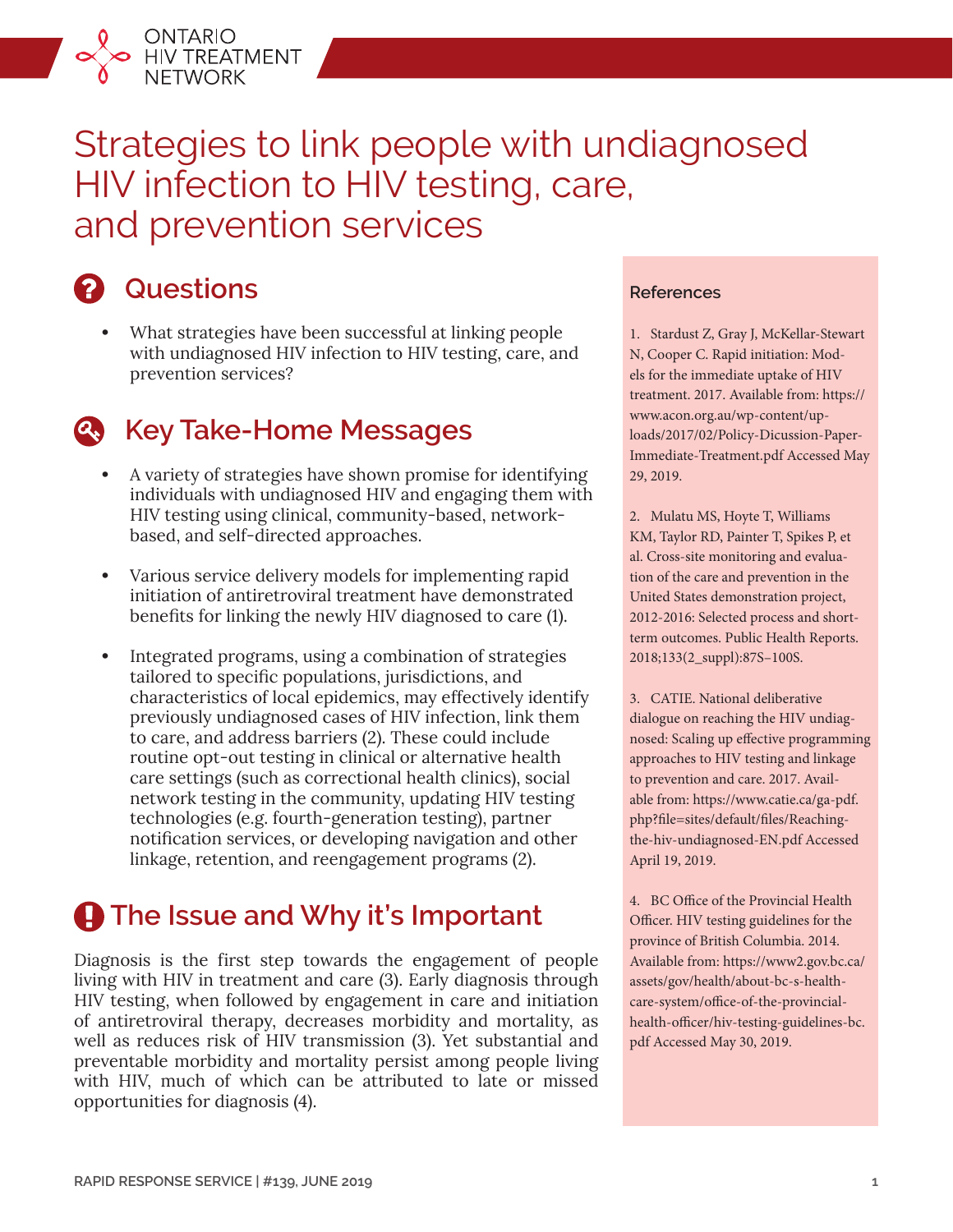

# Strategies to link people with undiagnosed HIV infection to HIV testing, care, and prevention services

# **2** Questions

**•** What strategies have been successful at linking people with undiagnosed HIV infection to HIV testing, care, and prevention services?

# **Key Take-Home Messages**

- **•** A variety of strategies have shown promise for identifying individuals with undiagnosed HIV and engaging them with HIV testing using clinical, community-based, networkbased, and self-directed approaches.
- **•** Various service delivery models for implementing rapid initiation of antiretroviral treatment have demonstrated benefits for linking the newly HIV diagnosed to care (1).
- **•** Integrated programs, using a combination of strategies tailored to specific populations, jurisdictions, and characteristics of local epidemics, may effectively identify previously undiagnosed cases of HIV infection, link them to care, and address barriers (2). These could include routine opt-out testing in clinical or alternative health care settings (such as correctional health clinics), social network testing in the community, updating HIV testing technologies (e.g. fourth-generation testing), partner notification services, or developing navigation and other linkage, retention, and reengagement programs (2).

# **A** The Issue and Why it's Important

Diagnosis is the first step towards the engagement of people living with HIV in treatment and care (3). Early diagnosis through HIV testing, when followed by engagement in care and initiation of antiretroviral therapy, decreases morbidity and mortality, as well as reduces risk of HIV transmission (3). Yet substantial and preventable morbidity and mortality persist among people living with HIV, much of which can be attributed to late or missed opportunities for diagnosis (4).

#### **References**

1. Stardust Z, Gray J, McKellar-Stewart N, Cooper C. Rapid initiation: Models for the immediate uptake of HIV treatment. 2017. Available from: [https://](https://www.acon.org.au/wp-content/uploads/2017/02/Policy-Dicussion-Paper-Immediate-Treatment.pdf) [www.acon.org.au/wp-content/up](https://www.acon.org.au/wp-content/uploads/2017/02/Policy-Dicussion-Paper-Immediate-Treatment.pdf)[loads/2017/02/Policy-Dicussion-Paper-](https://www.acon.org.au/wp-content/uploads/2017/02/Policy-Dicussion-Paper-Immediate-Treatment.pdf)[Immediate-Treatment.pdf](https://www.acon.org.au/wp-content/uploads/2017/02/Policy-Dicussion-Paper-Immediate-Treatment.pdf) Accessed May 29, 2019.

2. Mulatu MS, Hoyte T, Williams KM, Taylor RD, Painter T, Spikes P, et al. Cross-site monitoring and evaluation of the care and prevention in the United States demonstration project, 2012-2016: Selected process and shortterm outcomes. Public Health Reports. 2018;133(2\_suppl):87S–100S.

3. CATIE. National deliberative dialogue on reaching the HIV undiagnosed: Scaling up effective programming approaches to HIV testing and linkage to prevention and care. 2017. Available from: [https://www.catie.ca/ga-pdf.](https://www.catie.ca/ga-pdf.php?file=sites/default/files/Reaching-the-hiv-undiagnosed-EN.pdf) [php?file=sites/default/files/Reaching](https://www.catie.ca/ga-pdf.php?file=sites/default/files/Reaching-the-hiv-undiagnosed-EN.pdf)[the-hiv-undiagnosed-EN.pdf](https://www.catie.ca/ga-pdf.php?file=sites/default/files/Reaching-the-hiv-undiagnosed-EN.pdf) Accessed April 19, 2019.

4. BC Office of the Provincial Health Officer. HIV testing guidelines for the province of British Columbia. 2014. Available from: [https://www2.gov.bc.ca/](https://www2.gov.bc.ca/assets/gov/health/about-bc-s-health-care-system/office-of-the-provincial-health-officer/hiv-testing-guidelines-bc.pdf) [assets/gov/health/about-bc-s-health](https://www2.gov.bc.ca/assets/gov/health/about-bc-s-health-care-system/office-of-the-provincial-health-officer/hiv-testing-guidelines-bc.pdf)[care-system/office-of-the-provincial](https://www2.gov.bc.ca/assets/gov/health/about-bc-s-health-care-system/office-of-the-provincial-health-officer/hiv-testing-guidelines-bc.pdf)[health-officer/hiv-testing-guidelines-bc.](https://www2.gov.bc.ca/assets/gov/health/about-bc-s-health-care-system/office-of-the-provincial-health-officer/hiv-testing-guidelines-bc.pdf) [pdf](https://www2.gov.bc.ca/assets/gov/health/about-bc-s-health-care-system/office-of-the-provincial-health-officer/hiv-testing-guidelines-bc.pdf) Accessed May 30, 2019.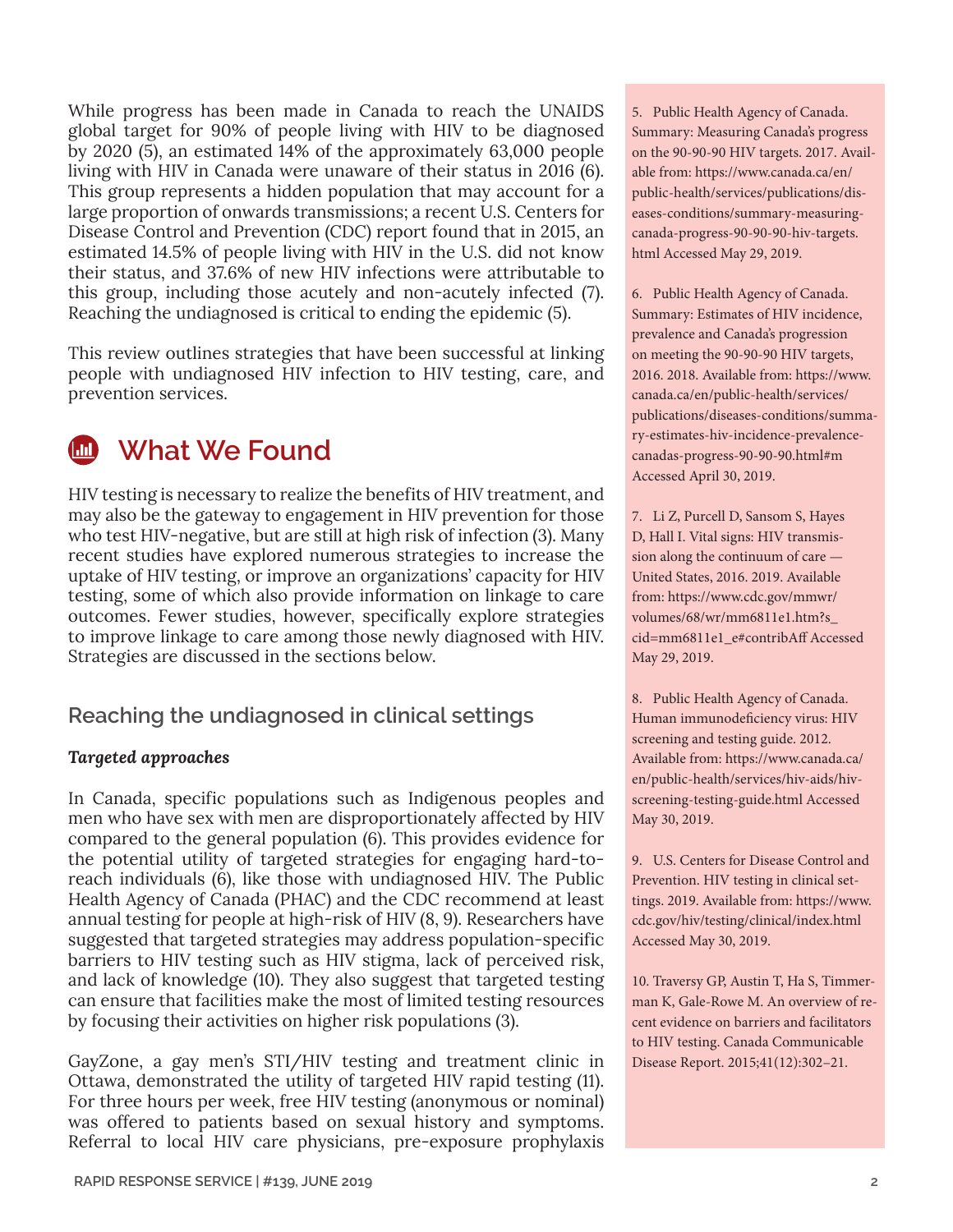While progress has been made in Canada to reach the UNAIDS global target for 90% of people living with HIV to be diagnosed by 2020 (5), an estimated 14% of the approximately 63,000 people living with HIV in Canada were unaware of their status in 2016 (6). This group represents a hidden population that may account for a large proportion of onwards transmissions; a recent U.S. Centers for Disease Control and Prevention (CDC) report found that in 2015, an estimated 14.5% of people living with HIV in the U.S. did not know their status, and 37.6% of new HIV infections were attributable to this group, including those acutely and non-acutely infected (7). Reaching the undiagnosed is critical to ending the epidemic (5).

This review outlines strategies that have been successful at linking people with undiagnosed HIV infection to HIV testing, care, and prevention services.

 **What We Found**

HIV testing is necessary to realize the benefits of HIV treatment, and may also be the gateway to engagement in HIV prevention for those who test HIV-negative, but are still at high risk of infection (3). Many recent studies have explored numerous strategies to increase the uptake of HIV testing, or improve an organizations' capacity for HIV testing, some of which also provide information on linkage to care outcomes. Fewer studies, however, specifically explore strategies to improve linkage to care among those newly diagnosed with HIV. Strategies are discussed in the sections below.

# **Reaching the undiagnosed in clinical settings**

## *Targeted approaches*

In Canada, specific populations such as Indigenous peoples and men who have sex with men are disproportionately affected by HIV compared to the general population (6). This provides evidence for the potential utility of targeted strategies for engaging hard-toreach individuals (6), like those with undiagnosed HIV. The Public Health Agency of Canada (PHAC) and the CDC recommend at least annual testing for people at high-risk of HIV (8, 9). Researchers have suggested that targeted strategies may address population-specific barriers to HIV testing such as HIV stigma, lack of perceived risk, and lack of knowledge (10). They also suggest that targeted testing can ensure that facilities make the most of limited testing resources by focusing their activities on higher risk populations (3).

GayZone, a gay men's STI/HIV testing and treatment clinic in Ottawa, demonstrated the utility of targeted HIV rapid testing (11). For three hours per week, free HIV testing (anonymous or nominal) was offered to patients based on sexual history and symptoms. Referral to local HIV care physicians, pre-exposure prophylaxis 5. Public Health Agency of Canada. Summary: Measuring Canada's progress on the 90-90-90 HIV targets. 2017. Available from: [https://www.canada.ca/en/](https://www.canada.ca/en/public-health/services/publications/diseases-conditions/summary-measuring-canada-progress-90-90-90-hiv-targets.html) [public-health/services/publications/dis](https://www.canada.ca/en/public-health/services/publications/diseases-conditions/summary-measuring-canada-progress-90-90-90-hiv-targets.html)[eases-conditions/summary-measuring](https://www.canada.ca/en/public-health/services/publications/diseases-conditions/summary-measuring-canada-progress-90-90-90-hiv-targets.html)[canada-progress-90-90-90-hiv-targets.](https://www.canada.ca/en/public-health/services/publications/diseases-conditions/summary-measuring-canada-progress-90-90-90-hiv-targets.html) [html](https://www.canada.ca/en/public-health/services/publications/diseases-conditions/summary-measuring-canada-progress-90-90-90-hiv-targets.html) Accessed May 29, 2019.

6. Public Health Agency of Canada. Summary: Estimates of HIV incidence, prevalence and Canada's progression on meeting the 90-90-90 HIV targets, 2016. 2018. Available from: [https://www.](https://www.canada.ca/en/public-health/services/publications/diseases-conditions/summary-estimates-hiv-incidence-prevalence-canadas-progress-90-90-90.html#m) [canada.ca/en/public-health/services/](https://www.canada.ca/en/public-health/services/publications/diseases-conditions/summary-estimates-hiv-incidence-prevalence-canadas-progress-90-90-90.html#m) [publications/diseases-conditions/summa](https://www.canada.ca/en/public-health/services/publications/diseases-conditions/summary-estimates-hiv-incidence-prevalence-canadas-progress-90-90-90.html#m)[ry-estimates-hiv-incidence-prevalence](https://www.canada.ca/en/public-health/services/publications/diseases-conditions/summary-estimates-hiv-incidence-prevalence-canadas-progress-90-90-90.html#m)[canadas-progress-90-90-90.html#m](https://www.canada.ca/en/public-health/services/publications/diseases-conditions/summary-estimates-hiv-incidence-prevalence-canadas-progress-90-90-90.html#m) Accessed April 30, 2019.

7. Li Z, Purcell D, Sansom S, Hayes D, Hall I. Vital signs: HIV transmission along the continuum of care — United States, 2016. 2019. Available from: [https://www.cdc.gov/mmwr/](https://www.cdc.gov/mmwr/volumes/68/wr/mm6811e1.htm?s_cid=mm6811e1_e#contribAff) [volumes/68/wr/mm6811e1.htm?s\\_](https://www.cdc.gov/mmwr/volumes/68/wr/mm6811e1.htm?s_cid=mm6811e1_e#contribAff) [cid=mm6811e1\\_e#contribAff](https://www.cdc.gov/mmwr/volumes/68/wr/mm6811e1.htm?s_cid=mm6811e1_e#contribAff) Accessed May 29, 2019.

8. Public Health Agency of Canada. Human immunodeficiency virus: HIV screening and testing guide. 2012. Available from: [https://www.canada.ca/](https://www.canada.ca/en/public-health/services/hiv-aids/hiv-screening-testing-guide.html) [en/public-health/services/hiv-aids/hiv](https://www.canada.ca/en/public-health/services/hiv-aids/hiv-screening-testing-guide.html)[screening-testing-guide.html](https://www.canada.ca/en/public-health/services/hiv-aids/hiv-screening-testing-guide.html) Accessed May 30, 2019.

9. U.S. Centers for Disease Control and Prevention. HIV testing in clinical settings. 2019. Available from: [https://www.](https://www.cdc.gov/hiv/testing/clinical/index.html) [cdc.gov/hiv/testing/clinical/index.html](https://www.cdc.gov/hiv/testing/clinical/index.html) Accessed May 30, 2019.

10. Traversy GP, Austin T, Ha S, Timmerman K, Gale-Rowe M. An overview of recent evidence on barriers and facilitators to HIV testing. Canada Communicable Disease Report. 2015;41(12):302–21.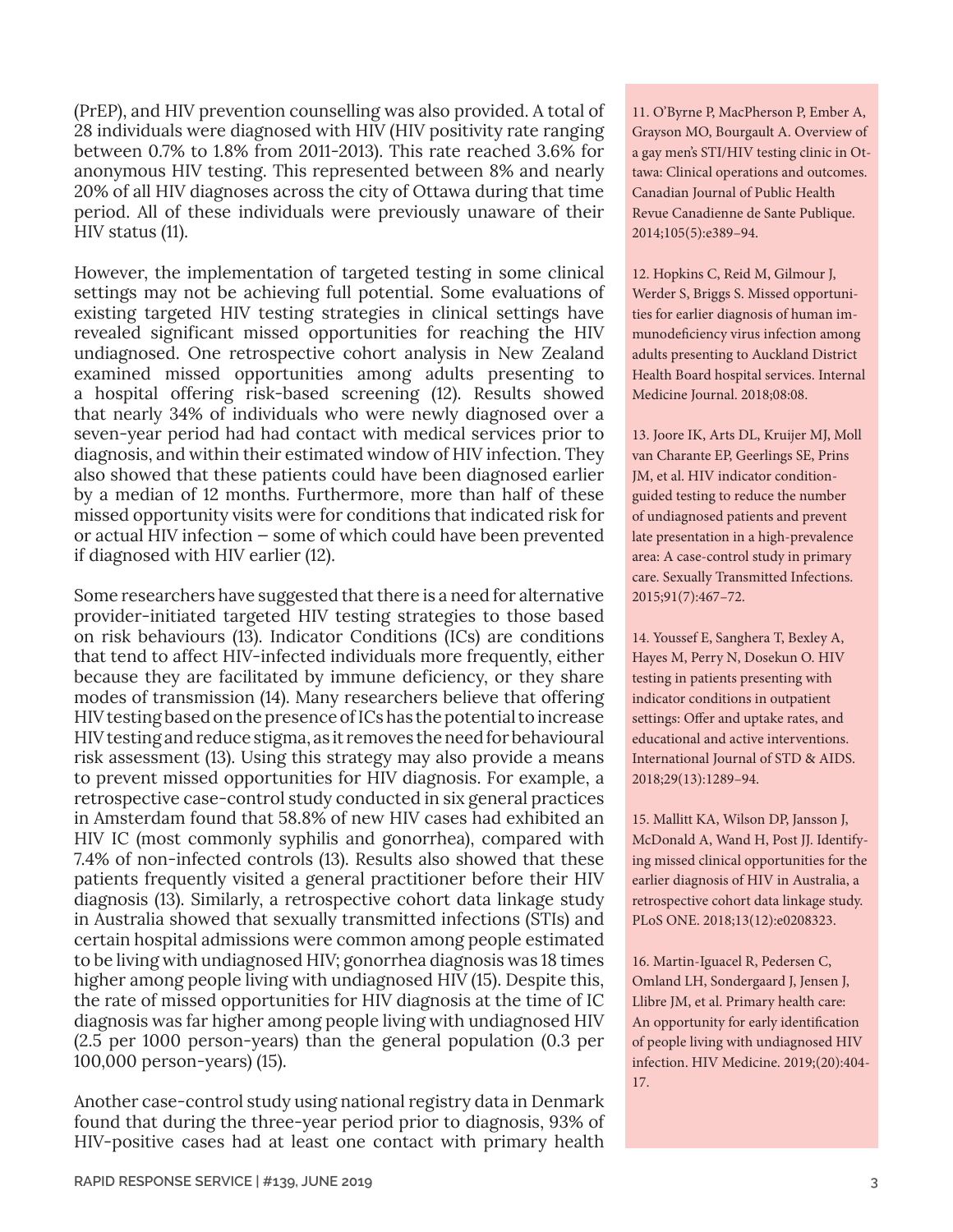(PrEP), and HIV prevention counselling was also provided. A total of 28 individuals were diagnosed with HIV (HIV positivity rate ranging between 0.7% to 1.8% from 2011-2013). This rate reached 3.6% for anonymous HIV testing. This represented between 8% and nearly 20% of all HIV diagnoses across the city of Ottawa during that time period. All of these individuals were previously unaware of their HIV status (11).

However, the implementation of targeted testing in some clinical settings may not be achieving full potential. Some evaluations of existing targeted HIV testing strategies in clinical settings have revealed significant missed opportunities for reaching the HIV undiagnosed. One retrospective cohort analysis in New Zealand examined missed opportunities among adults presenting to a hospital offering risk-based screening (12). Results showed that nearly 34% of individuals who were newly diagnosed over a seven-year period had had contact with medical services prior to diagnosis, and within their estimated window of HIV infection. They also showed that these patients could have been diagnosed earlier by a median of 12 months. Furthermore, more than half of these missed opportunity visits were for conditions that indicated risk for or actual HIV infection — some of which could have been prevented if diagnosed with HIV earlier (12).

Some researchers have suggested that there is a need for alternative provider-initiated targeted HIV testing strategies to those based on risk behaviours (13). Indicator Conditions (ICs) are conditions that tend to affect HIV-infected individuals more frequently, either because they are facilitated by immune deficiency, or they share modes of transmission (14). Many researchers believe that offering HIV testing based on the presence of ICs has the potential to increase HIV testing and reduce stigma, as it removes the need for behavioural risk assessment (13). Using this strategy may also provide a means to prevent missed opportunities for HIV diagnosis. For example, a retrospective case-control study conducted in six general practices in Amsterdam found that 58.8% of new HIV cases had exhibited an HIV IC (most commonly syphilis and gonorrhea), compared with 7.4% of non-infected controls (13). Results also showed that these patients frequently visited a general practitioner before their HIV diagnosis (13). Similarly, a retrospective cohort data linkage study in Australia showed that sexually transmitted infections (STIs) and certain hospital admissions were common among people estimated to be living with undiagnosed HIV; gonorrhea diagnosis was 18 times higher among people living with undiagnosed HIV (15). Despite this, the rate of missed opportunities for HIV diagnosis at the time of IC diagnosis was far higher among people living with undiagnosed HIV (2.5 per 1000 person-years) than the general population (0.3 per 100,000 person-years) (15).

Another case-control study using national registry data in Denmark found that during the three-year period prior to diagnosis, 93% of HIV-positive cases had at least one contact with primary health 11. O'Byrne P, MacPherson P, Ember A, Grayson MO, Bourgault A. Overview of a gay men's STI/HIV testing clinic in Ottawa: Clinical operations and outcomes. Canadian Journal of Public Health Revue Canadienne de Sante Publique. 2014;105(5):e389–94.

12. Hopkins C, Reid M, Gilmour J, Werder S, Briggs S. Missed opportunities for earlier diagnosis of human immunodeficiency virus infection among adults presenting to Auckland District Health Board hospital services. Internal Medicine Journal. 2018;08:08.

13. Joore IK, Arts DL, Kruijer MJ, Moll van Charante EP, Geerlings SE, Prins JM, et al. HIV indicator conditionguided testing to reduce the number of undiagnosed patients and prevent late presentation in a high-prevalence area: A case-control study in primary care. Sexually Transmitted Infections. 2015;91(7):467–72.

14. Youssef E, Sanghera T, Bexley A, Hayes M, Perry N, Dosekun O. HIV testing in patients presenting with indicator conditions in outpatient settings: Offer and uptake rates, and educational and active interventions. International Journal of STD & AIDS. 2018;29(13):1289–94.

15. Mallitt KA, Wilson DP, Jansson J, McDonald A, Wand H, Post JJ. Identifying missed clinical opportunities for the earlier diagnosis of HIV in Australia, a retrospective cohort data linkage study. PLoS ONE. 2018;13(12):e0208323.

16. Martin-Iguacel R, Pedersen C, Omland LH, Sondergaard J, Jensen J, Llibre JM, et al. Primary health care: An opportunity for early identification of people living with undiagnosed HIV infection. HIV Medicine. 2019;(20):404- 17.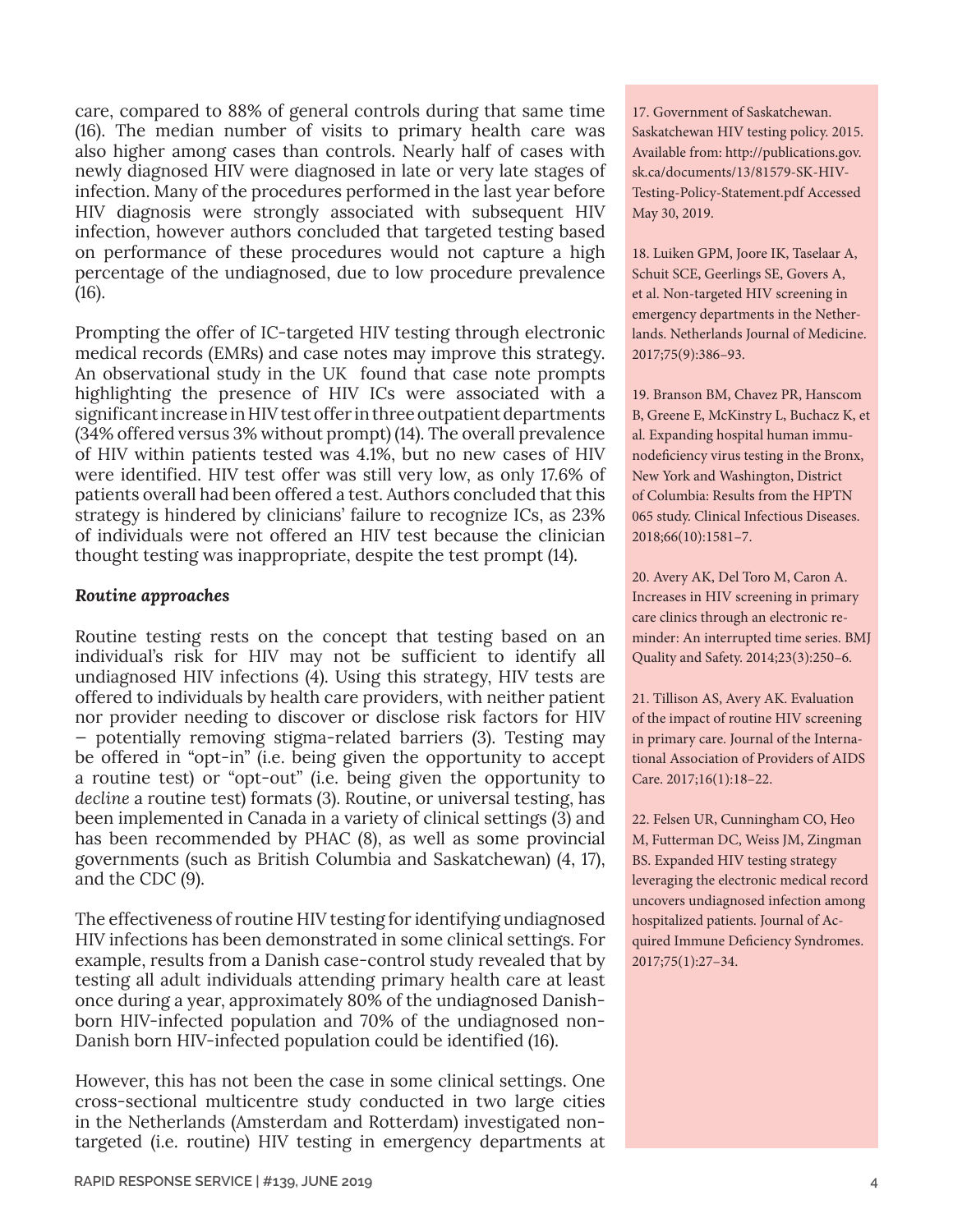care, compared to 88% of general controls during that same time (16). The median number of visits to primary health care was also higher among cases than controls. Nearly half of cases with newly diagnosed HIV were diagnosed in late or very late stages of infection. Many of the procedures performed in the last year before HIV diagnosis were strongly associated with subsequent HIV infection, however authors concluded that targeted testing based on performance of these procedures would not capture a high percentage of the undiagnosed, due to low procedure prevalence (16).

Prompting the offer of IC-targeted HIV testing through electronic medical records (EMRs) and case notes may improve this strategy. An observational study in the UK found that case note prompts highlighting the presence of HIV ICs were associated with a significant increase in HIV test offer in three outpatient departments (34% offered versus 3% without prompt) (14). The overall prevalence of HIV within patients tested was 4.1%, but no new cases of HIV were identified. HIV test offer was still very low, as only 17.6% of patients overall had been offered a test. Authors concluded that this strategy is hindered by clinicians' failure to recognize ICs, as 23% of individuals were not offered an HIV test because the clinician thought testing was inappropriate, despite the test prompt (14).

#### *Routine approaches*

Routine testing rests on the concept that testing based on an individual's risk for HIV may not be sufficient to identify all undiagnosed HIV infections (4). Using this strategy, HIV tests are offered to individuals by health care providers, with neither patient nor provider needing to discover or disclose risk factors for HIV — potentially removing stigma-related barriers (3). Testing may be offered in "opt-in" (i.e. being given the opportunity to accept a routine test) or "opt-out" (i.e. being given the opportunity to *decline* a routine test) formats (3). Routine, or universal testing, has been implemented in Canada in a variety of clinical settings (3) and has been recommended by PHAC (8), as well as some provincial governments (such as British Columbia and Saskatchewan) (4, 17), and the CDC (9).

The effectiveness of routine HIV testing for identifying undiagnosed HIV infections has been demonstrated in some clinical settings. For example, results from a Danish case-control study revealed that by testing all adult individuals attending primary health care at least once during a year, approximately 80% of the undiagnosed Danishborn HIV-infected population and 70% of the undiagnosed non-Danish born HIV-infected population could be identified (16).

However, this has not been the case in some clinical settings. One cross-sectional multicentre study conducted in two large cities in the Netherlands (Amsterdam and Rotterdam) investigated nontargeted (i.e. routine) HIV testing in emergency departments at

17. Government of Saskatchewan. Saskatchewan HIV testing policy. 2015. Available from: [http://publications.gov.](http://publications.gov.sk.ca/documents/13/81579-SK-HIV-Testing-Policy-Statement.pdf) [sk.ca/documents/13/81579-SK-HIV-](http://publications.gov.sk.ca/documents/13/81579-SK-HIV-Testing-Policy-Statement.pdf)[Testing-Policy-Statement.pdf](http://publications.gov.sk.ca/documents/13/81579-SK-HIV-Testing-Policy-Statement.pdf) Accessed May 30, 2019.

18. Luiken GPM, Joore IK, Taselaar A, Schuit SCE, Geerlings SE, Govers A, et al. Non-targeted HIV screening in emergency departments in the Netherlands. Netherlands Journal of Medicine. 2017;75(9):386–93.

19. Branson BM, Chavez PR, Hanscom B, Greene E, McKinstry L, Buchacz K, et al. Expanding hospital human immunodeficiency virus testing in the Bronx, New York and Washington, District of Columbia: Results from the HPTN 065 study. Clinical Infectious Diseases. 2018;66(10):1581–7.

20. Avery AK, Del Toro M, Caron A. Increases in HIV screening in primary care clinics through an electronic reminder: An interrupted time series. BMJ Quality and Safety. 2014;23(3):250–6.

21. Tillison AS, Avery AK. Evaluation of the impact of routine HIV screening in primary care. Journal of the International Association of Providers of AIDS Care. 2017;16(1):18–22.

22. Felsen UR, Cunningham CO, Heo M, Futterman DC, Weiss JM, Zingman BS. Expanded HIV testing strategy leveraging the electronic medical record uncovers undiagnosed infection among hospitalized patients. Journal of Acquired Immune Deficiency Syndromes. 2017;75(1):27–34.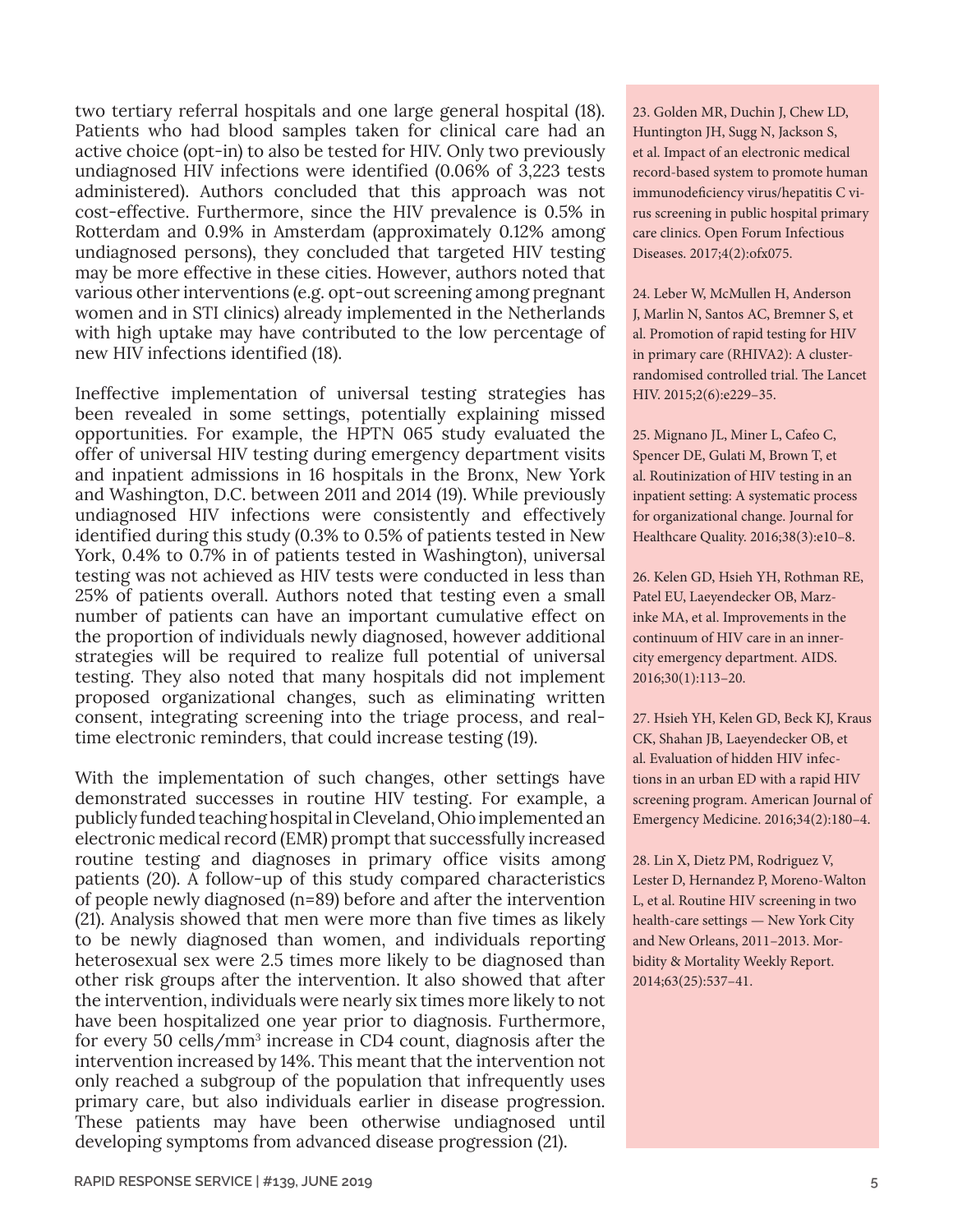two tertiary referral hospitals and one large general hospital (18). Patients who had blood samples taken for clinical care had an active choice (opt-in) to also be tested for HIV. Only two previously undiagnosed HIV infections were identified (0.06% of 3,223 tests administered). Authors concluded that this approach was not cost-effective. Furthermore, since the HIV prevalence is 0.5% in Rotterdam and 0.9% in Amsterdam (approximately 0.12% among undiagnosed persons), they concluded that targeted HIV testing may be more effective in these cities. However, authors noted that various other interventions (e.g. opt-out screening among pregnant women and in STI clinics) already implemented in the Netherlands with high uptake may have contributed to the low percentage of new HIV infections identified (18).

Ineffective implementation of universal testing strategies has been revealed in some settings, potentially explaining missed opportunities. For example, the HPTN 065 study evaluated the offer of universal HIV testing during emergency department visits and inpatient admissions in 16 hospitals in the Bronx, New York and Washington, D.C. between 2011 and 2014 (19). While previously undiagnosed HIV infections were consistently and effectively identified during this study (0.3% to 0.5% of patients tested in New York, 0.4% to 0.7% in of patients tested in Washington), universal testing was not achieved as HIV tests were conducted in less than 25% of patients overall. Authors noted that testing even a small number of patients can have an important cumulative effect on the proportion of individuals newly diagnosed, however additional strategies will be required to realize full potential of universal testing. They also noted that many hospitals did not implement proposed organizational changes, such as eliminating written consent, integrating screening into the triage process, and realtime electronic reminders, that could increase testing (19).

With the implementation of such changes, other settings have demonstrated successes in routine HIV testing. For example, a publicly funded teaching hospital in Cleveland, Ohio implemented an electronic medical record (EMR) prompt that successfully increased routine testing and diagnoses in primary office visits among patients (20). A follow-up of this study compared characteristics of people newly diagnosed (n=89) before and after the intervention (21). Analysis showed that men were more than five times as likely to be newly diagnosed than women, and individuals reporting heterosexual sex were 2.5 times more likely to be diagnosed than other risk groups after the intervention. It also showed that after the intervention, individuals were nearly six times more likely to not have been hospitalized one year prior to diagnosis. Furthermore, for every 50 cells/mm<sup>3</sup> increase in CD4 count, diagnosis after the intervention increased by 14%. This meant that the intervention not only reached a subgroup of the population that infrequently uses primary care, but also individuals earlier in disease progression. These patients may have been otherwise undiagnosed until developing symptoms from advanced disease progression (21).

23. Golden MR, Duchin J, Chew LD, Huntington JH, Sugg N, Jackson S, et al. Impact of an electronic medical record-based system to promote human immunodeficiency virus/hepatitis C virus screening in public hospital primary care clinics. Open Forum Infectious Diseases. 2017;4(2):ofx075.

24. Leber W, McMullen H, Anderson J, Marlin N, Santos AC, Bremner S, et al. Promotion of rapid testing for HIV in primary care (RHIVA2): A clusterrandomised controlled trial. The Lancet HIV. 2015;2(6):e229–35.

25. Mignano JL, Miner L, Cafeo C, Spencer DE, Gulati M, Brown T, et al. Routinization of HIV testing in an inpatient setting: A systematic process for organizational change. Journal for Healthcare Quality. 2016;38(3):e10–8.

26. Kelen GD, Hsieh YH, Rothman RE, Patel EU, Laeyendecker OB, Marzinke MA, et al. Improvements in the continuum of HIV care in an innercity emergency department. AIDS. 2016;30(1):113–20.

27. Hsieh YH, Kelen GD, Beck KJ, Kraus CK, Shahan JB, Laeyendecker OB, et al. Evaluation of hidden HIV infections in an urban ED with a rapid HIV screening program. American Journal of Emergency Medicine. 2016;34(2):180–4.

28. Lin X, Dietz PM, Rodriguez V, Lester D, Hernandez P, Moreno-Walton L, et al. Routine HIV screening in two health-care settings — New York City and New Orleans, 2011–2013. Morbidity & Mortality Weekly Report. 2014;63(25):537–41.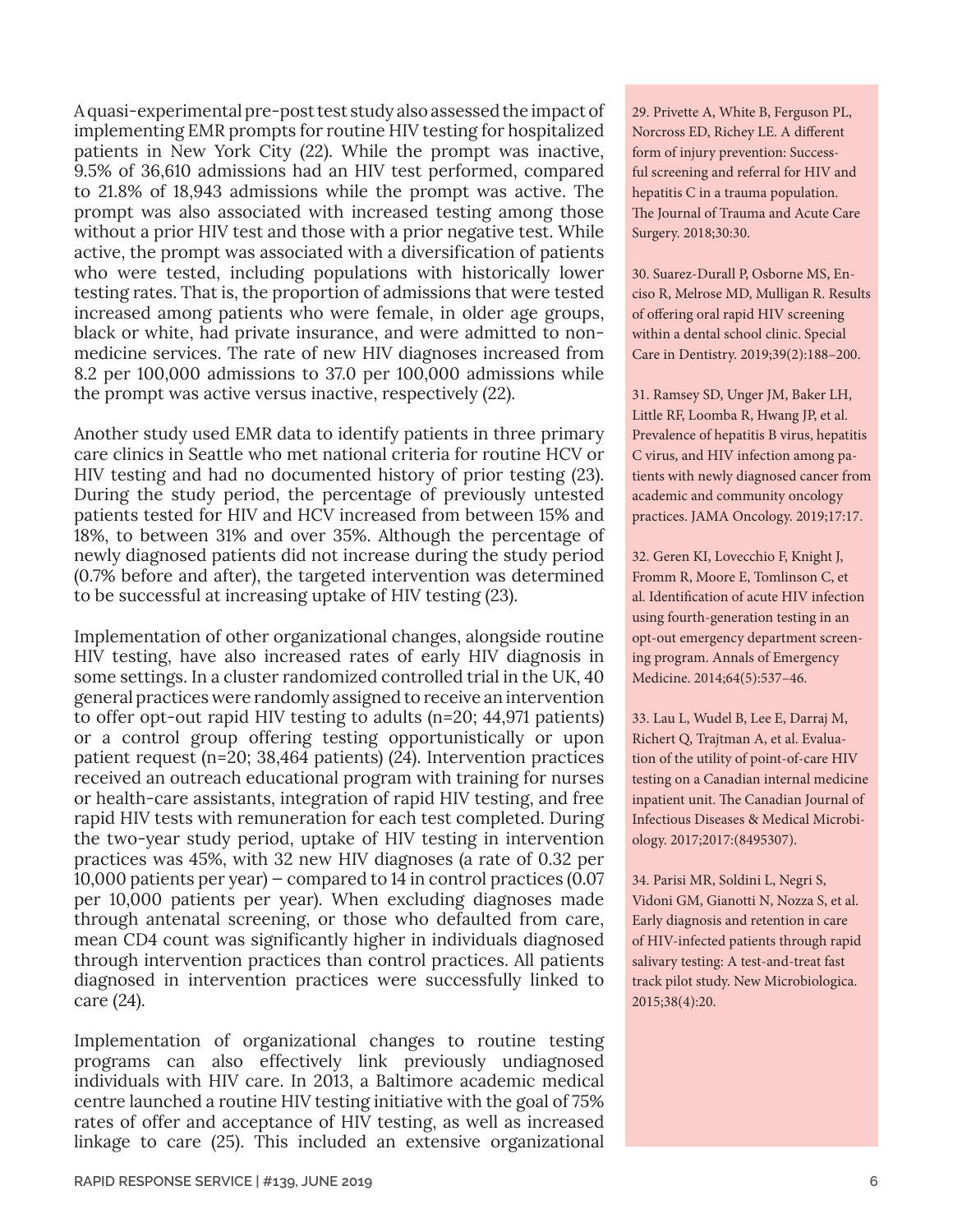A quasi-experimental pre-post test study also assessed the impact of implementing EMR prompts for routine HIV testing for hospitalized patients in New York City (22). While the prompt was inactive, 9.5% of 36,610 admissions had an HIV test performed, compared to 21.8% of 18,943 admissions while the prompt was active. The prompt was also associated with increased testing among those without a prior HIV test and those with a prior negative test. While active, the prompt was associated with a diversification of patients who were tested, including populations with historically lower testing rates. That is, the proportion of admissions that were tested increased among patients who were female, in older age groups, black or white, had private insurance, and were admitted to nonmedicine services. The rate of new HIV diagnoses increased from 8.2 per 100,000 admissions to 37.0 per 100,000 admissions while the prompt was active versus inactive, respectively (22).

Another study used EMR data to identify patients in three primary care clinics in Seattle who met national criteria for routine HCV or HIV testing and had no documented history of prior testing (23). During the study period, the percentage of previously untested patients tested for HIV and HCV increased from between 15% and 18%, to between 31% and over 35%. Although the percentage of newly diagnosed patients did not increase during the study period (0.7% before and after), the targeted intervention was determined to be successful at increasing uptake of HIV testing (23).

Implementation of other organizational changes, alongside routine HIV testing, have also increased rates of early HIV diagnosis in some settings. In a cluster randomized controlled trial in the UK, 40 general practices were randomly assigned to receive an intervention to offer opt-out rapid HIV testing to adults (n=20; 44,971 patients) or a control group offering testing opportunistically or upon patient request (n=20; 38,464 patients) (24). Intervention practices received an outreach educational program with training for nurses or health-care assistants, integration of rapid HIV testing, and free rapid HIV tests with remuneration for each test completed. During the two-year study period, uptake of HIV testing in intervention practices was 45%, with 32 new HIV diagnoses (a rate of 0.32 per 10,000 patients per year) — compared to 14 in control practices (0.07 per 10,000 patients per year). When excluding diagnoses made through antenatal screening, or those who defaulted from care, mean CD4 count was significantly higher in individuals diagnosed through intervention practices than control practices. All patients diagnosed in intervention practices were successfully linked to care (24).

Implementation of organizational changes to routine testing programs can also effectively link previously undiagnosed individuals with HIV care. In 2013, a Baltimore academic medical centre launched a routine HIV testing initiative with the goal of 75% rates of offer and acceptance of HIV testing, as well as increased linkage to care (25). This included an extensive organizational

29. Privette A, White B, Ferguson PL, Norcross ED, Richey LE. A different form of injury prevention: Successful screening and referral for HIV and hepatitis C in a trauma population. The Journal of Trauma and Acute Care Surgery. 2018;30:30.

30. Suarez-Durall P, Osborne MS, Enciso R, Melrose MD, Mulligan R. Results of offering oral rapid HIV screening within a dental school clinic. Special Care in Dentistry. 2019;39(2):188–200.

31. Ramsey SD, Unger JM, Baker LH, Little RF, Loomba R, Hwang JP, et al. Prevalence of hepatitis B virus, hepatitis C virus, and HIV infection among patients with newly diagnosed cancer from academic and community oncology practices. JAMA Oncology. 2019;17:17.

32. Geren KI, Lovecchio F, Knight J, Fromm R, Moore E, Tomlinson C, et al. Identification of acute HIV infection using fourth-generation testing in an opt-out emergency department screening program. Annals of Emergency Medicine. 2014;64(5):537–46.

33. Lau L, Wudel B, Lee E, Darraj M, Richert Q, Trajtman A, et al. Evaluation of the utility of point-of-care HIV testing on a Canadian internal medicine inpatient unit. The Canadian Journal of Infectious Diseases & Medical Microbiology. 2017;2017:(8495307).

34. Parisi MR, Soldini L, Negri S, Vidoni GM, Gianotti N, Nozza S, et al. Early diagnosis and retention in care of HIV-infected patients through rapid salivary testing: A test-and-treat fast track pilot study. New Microbiologica. 2015;38(4):20.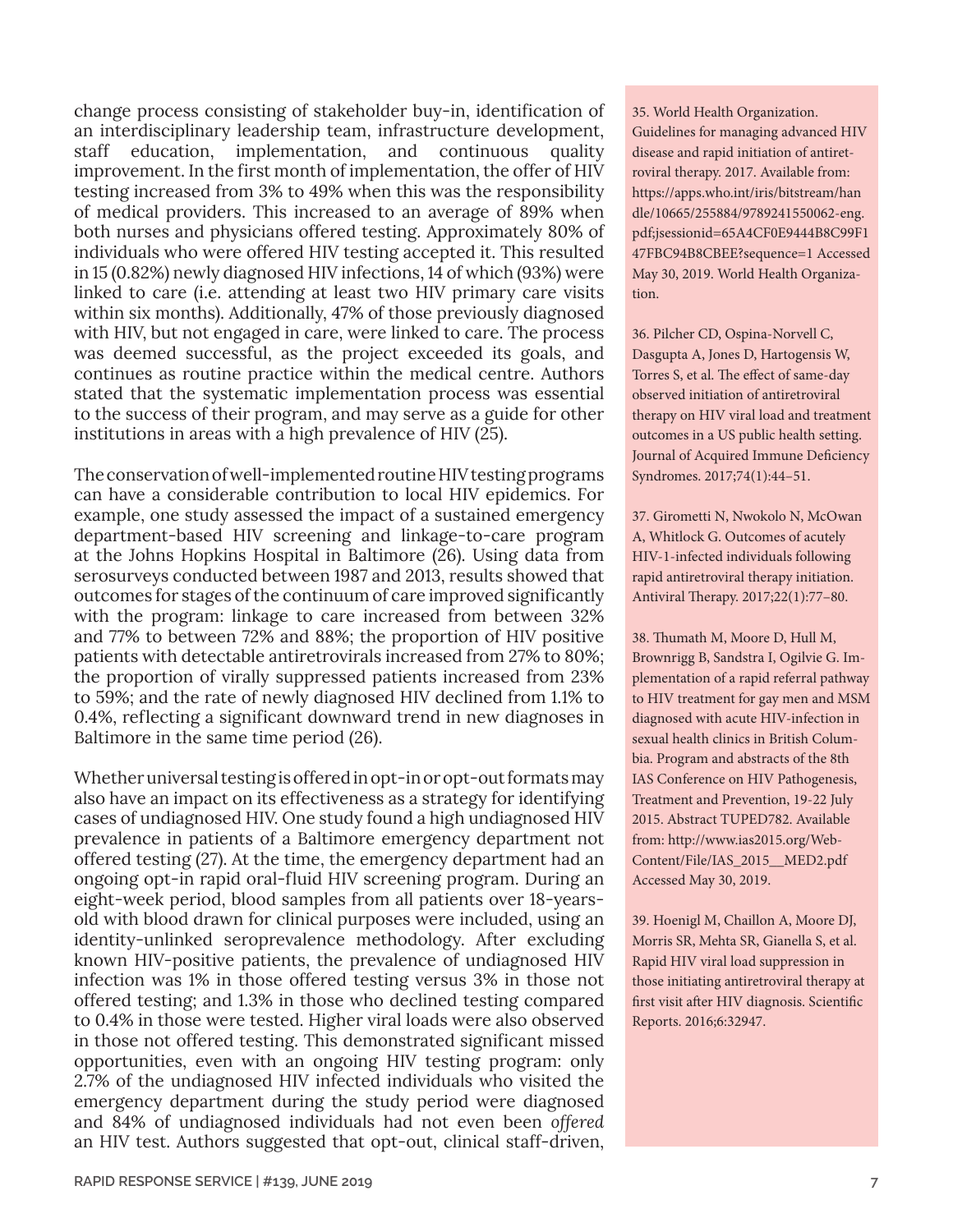change process consisting of stakeholder buy-in, identification of an interdisciplinary leadership team, infrastructure development, staff education, implementation, and continuous quality improvement. In the first month of implementation, the offer of HIV testing increased from 3% to 49% when this was the responsibility of medical providers. This increased to an average of 89% when both nurses and physicians offered testing. Approximately 80% of individuals who were offered HIV testing accepted it. This resulted in 15 (0.82%) newly diagnosed HIV infections, 14 of which (93%) were linked to care (i.e. attending at least two HIV primary care visits within six months). Additionally, 47% of those previously diagnosed with HIV, but not engaged in care, were linked to care. The process was deemed successful, as the project exceeded its goals, and continues as routine practice within the medical centre. Authors stated that the systematic implementation process was essential to the success of their program, and may serve as a guide for other institutions in areas with a high prevalence of HIV (25).

The conservation of well-implemented routine HIV testing programs can have a considerable contribution to local HIV epidemics. For example, one study assessed the impact of a sustained emergency department-based HIV screening and linkage-to-care program at the Johns Hopkins Hospital in Baltimore (26). Using data from serosurveys conducted between 1987 and 2013, results showed that outcomes for stages of the continuum of care improved significantly with the program: linkage to care increased from between 32% and 77% to between 72% and 88%; the proportion of HIV positive patients with detectable antiretrovirals increased from 27% to 80%; the proportion of virally suppressed patients increased from 23% to 59%; and the rate of newly diagnosed HIV declined from 1.1% to 0.4%, reflecting a significant downward trend in new diagnoses in Baltimore in the same time period (26).

Whether universal testing is offered in opt-in or opt-out formats may also have an impact on its effectiveness as a strategy for identifying cases of undiagnosed HIV. One study found a high undiagnosed HIV prevalence in patients of a Baltimore emergency department not offered testing (27). At the time, the emergency department had an ongoing opt-in rapid oral-fluid HIV screening program. During an eight-week period, blood samples from all patients over 18-yearsold with blood drawn for clinical purposes were included, using an identity-unlinked seroprevalence methodology. After excluding known HIV-positive patients, the prevalence of undiagnosed HIV infection was 1% in those offered testing versus 3% in those not offered testing; and 1.3% in those who declined testing compared to 0.4% in those were tested. Higher viral loads were also observed in those not offered testing. This demonstrated significant missed opportunities, even with an ongoing HIV testing program: only 2.7% of the undiagnosed HIV infected individuals who visited the emergency department during the study period were diagnosed and 84% of undiagnosed individuals had not even been *offered* an HIV test. Authors suggested that opt-out, clinical staff-driven,

35. World Health Organization. Guidelines for managing advanced HIV disease and rapid initiation of antiretroviral therapy. 2017. Available from: [https://apps.who.int/iris/bitstream/han](https://apps.who.int/iris/bitstream/handle/10665/255884/9789241550062-eng.pdf;jsessionid=65A4CF0E9444B8C99F147FBC94B8CBEE?sequence=1) [dle/10665/255884/9789241550062-eng.](https://apps.who.int/iris/bitstream/handle/10665/255884/9789241550062-eng.pdf;jsessionid=65A4CF0E9444B8C99F147FBC94B8CBEE?sequence=1) [pdf;jsessionid=65A4CF0E9444B8C99F1](https://apps.who.int/iris/bitstream/handle/10665/255884/9789241550062-eng.pdf;jsessionid=65A4CF0E9444B8C99F147FBC94B8CBEE?sequence=1) [47FBC94B8CBEE?sequence=1](https://apps.who.int/iris/bitstream/handle/10665/255884/9789241550062-eng.pdf;jsessionid=65A4CF0E9444B8C99F147FBC94B8CBEE?sequence=1) Accessed May 30, 2019. World Health Organization.

36. Pilcher CD, Ospina-Norvell C, Dasgupta A, Jones D, Hartogensis W, Torres S, et al. The effect of same-day observed initiation of antiretroviral therapy on HIV viral load and treatment outcomes in a US public health setting. Journal of Acquired Immune Deficiency Syndromes. 2017;74(1):44–51.

37. Girometti N, Nwokolo N, McOwan A, Whitlock G. Outcomes of acutely HIV-1-infected individuals following rapid antiretroviral therapy initiation. Antiviral Therapy. 2017;22(1):77–80.

38. Thumath M, Moore D, Hull M, Brownrigg B, Sandstra I, Ogilvie G. Implementation of a rapid referral pathway to HIV treatment for gay men and MSM diagnosed with acute HIV-infection in sexual health clinics in British Columbia. Program and abstracts of the 8th IAS Conference on HIV Pathogenesis, Treatment and Prevention, 19-22 July 2015. Abstract TUPED782. Available from: [http://www.ias2015.org/Web-](http://www.ias2015.org/WebContent/File/IAS_2015__MED2.pdf)[Content/File/IAS\\_2015\\_\\_MED2.pdf](http://www.ias2015.org/WebContent/File/IAS_2015__MED2.pdf) Accessed May 30, 2019.

39. Hoenigl M, Chaillon A, Moore DJ, Morris SR, Mehta SR, Gianella S, et al. Rapid HIV viral load suppression in those initiating antiretroviral therapy at first visit after HIV diagnosis. Scientific Reports. 2016;6:32947.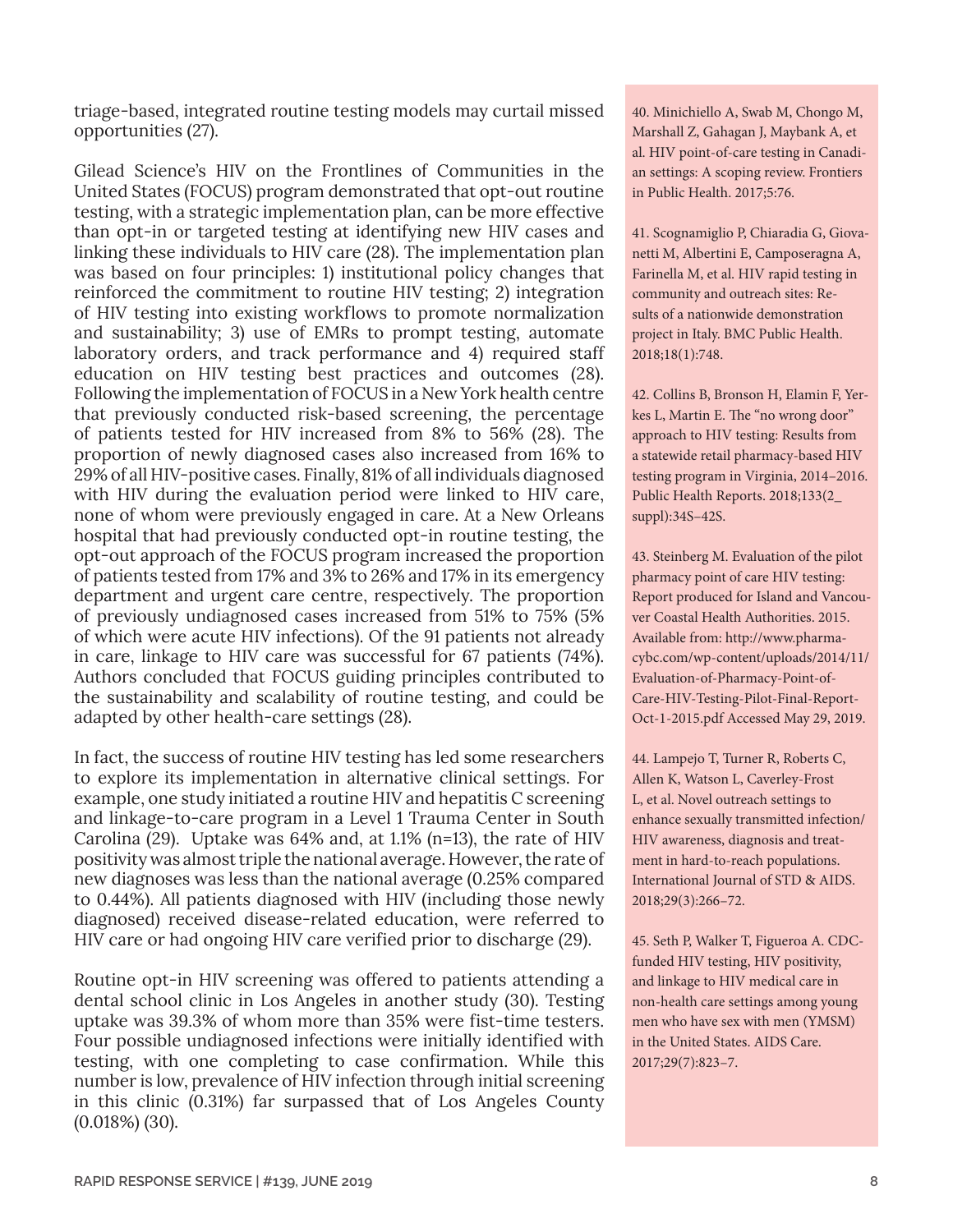triage-based, integrated routine testing models may curtail missed opportunities (27).

Gilead Science's HIV on the Frontlines of Communities in the United States (FOCUS) program demonstrated that opt-out routine testing, with a strategic implementation plan, can be more effective than opt-in or targeted testing at identifying new HIV cases and linking these individuals to HIV care (28). The implementation plan was based on four principles: 1) institutional policy changes that reinforced the commitment to routine HIV testing; 2) integration of HIV testing into existing workflows to promote normalization and sustainability; 3) use of EMRs to prompt testing, automate laboratory orders, and track performance and 4) required staff education on HIV testing best practices and outcomes (28). Following the implementation of FOCUS in a New York health centre that previously conducted risk-based screening, the percentage of patients tested for HIV increased from 8% to 56% (28). The proportion of newly diagnosed cases also increased from 16% to 29% of all HIV-positive cases. Finally, 81% of all individuals diagnosed with HIV during the evaluation period were linked to HIV care, none of whom were previously engaged in care. At a New Orleans hospital that had previously conducted opt-in routine testing, the opt-out approach of the FOCUS program increased the proportion of patients tested from 17% and 3% to 26% and 17% in its emergency department and urgent care centre, respectively. The proportion of previously undiagnosed cases increased from 51% to 75% (5% of which were acute HIV infections). Of the 91 patients not already in care, linkage to HIV care was successful for 67 patients (74%). Authors concluded that FOCUS guiding principles contributed to the sustainability and scalability of routine testing, and could be adapted by other health-care settings (28).

In fact, the success of routine HIV testing has led some researchers to explore its implementation in alternative clinical settings. For example, one study initiated a routine HIV and hepatitis C screening and linkage-to-care program in a Level 1 Trauma Center in South Carolina (29). Uptake was 64% and, at 1.1% (n=13), the rate of HIV positivity was almost triple the national average. However, the rate of new diagnoses was less than the national average (0.25% compared to 0.44%). All patients diagnosed with HIV (including those newly diagnosed) received disease-related education, were referred to HIV care or had ongoing HIV care verified prior to discharge (29).

Routine opt-in HIV screening was offered to patients attending a dental school clinic in Los Angeles in another study (30). Testing uptake was 39.3% of whom more than 35% were fist-time testers. Four possible undiagnosed infections were initially identified with testing, with one completing to case confirmation. While this number is low, prevalence of HIV infection through initial screening in this clinic (0.31%) far surpassed that of Los Angeles County (0.018%) (30).

40. Minichiello A, Swab M, Chongo M, Marshall Z, Gahagan J, Maybank A, et al. HIV point-of-care testing in Canadian settings: A scoping review. Frontiers in Public Health. 2017;5:76.

41. Scognamiglio P, Chiaradia G, Giovanetti M, Albertini E, Camposeragna A, Farinella M, et al. HIV rapid testing in community and outreach sites: Results of a nationwide demonstration project in Italy. BMC Public Health. 2018;18(1):748.

42. Collins B, Bronson H, Elamin F, Yerkes L, Martin E. The "no wrong door" approach to HIV testing: Results from a statewide retail pharmacy-based HIV testing program in Virginia, 2014–2016. Public Health Reports. 2018;133(2\_ suppl):34S–42S.

43. Steinberg M. Evaluation of the pilot pharmacy point of care HIV testing: Report produced for Island and Vancouver Coastal Health Authorities. 2015. Available from: [http://www.pharma](http://www.pharmacybc.com/wp-content/uploads/2014/11/Evaluation-of-Pharmacy-Point-of-Care-HIV-Testing-Pilot-Final-Report-Oct-1-2015.pdf)[cybc.com/wp-content/uploads/2014/11/](http://www.pharmacybc.com/wp-content/uploads/2014/11/Evaluation-of-Pharmacy-Point-of-Care-HIV-Testing-Pilot-Final-Report-Oct-1-2015.pdf) [Evaluation-of-Pharmacy-Point-of-](http://www.pharmacybc.com/wp-content/uploads/2014/11/Evaluation-of-Pharmacy-Point-of-Care-HIV-Testing-Pilot-Final-Report-Oct-1-2015.pdf)[Care-HIV-Testing-Pilot-Final-Report-](http://www.pharmacybc.com/wp-content/uploads/2014/11/Evaluation-of-Pharmacy-Point-of-Care-HIV-Testing-Pilot-Final-Report-Oct-1-2015.pdf)[Oct-1-2015.pdf](http://www.pharmacybc.com/wp-content/uploads/2014/11/Evaluation-of-Pharmacy-Point-of-Care-HIV-Testing-Pilot-Final-Report-Oct-1-2015.pdf) Accessed May 29, 2019.

44. Lampejo T, Turner R, Roberts C, Allen K, Watson L, Caverley-Frost L, et al. Novel outreach settings to enhance sexually transmitted infection/ HIV awareness, diagnosis and treatment in hard-to-reach populations. International Journal of STD & AIDS. 2018;29(3):266–72.

45. Seth P, Walker T, Figueroa A. CDCfunded HIV testing, HIV positivity, and linkage to HIV medical care in non-health care settings among young men who have sex with men (YMSM) in the United States. AIDS Care. 2017;29(7):823–7.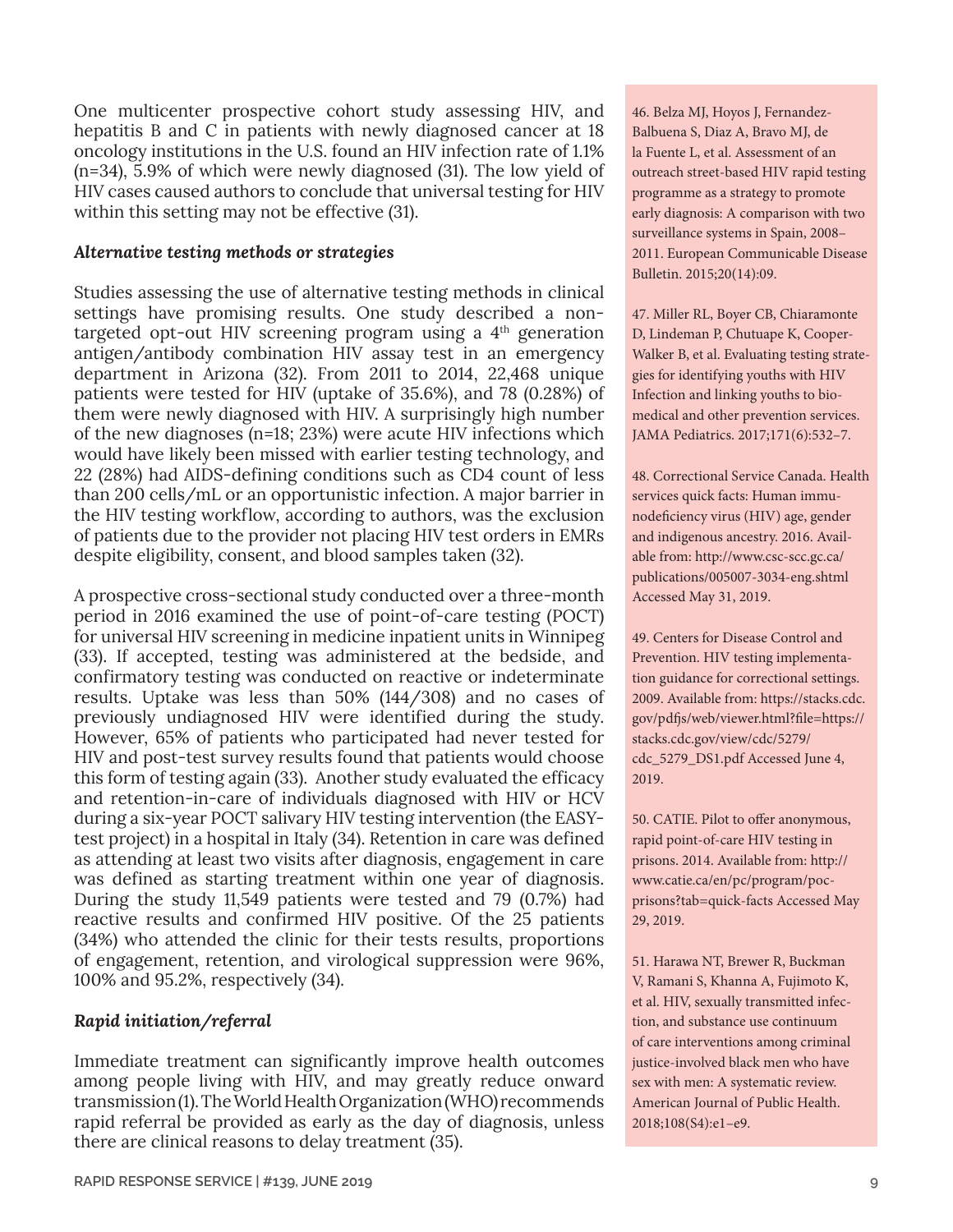One multicenter prospective cohort study assessing HIV, and hepatitis B and C in patients with newly diagnosed cancer at 18 oncology institutions in the U.S. found an HIV infection rate of 1.1% (n=34), 5.9% of which were newly diagnosed (31). The low yield of HIV cases caused authors to conclude that universal testing for HIV within this setting may not be effective (31).

#### *Alternative testing methods or strategies*

Studies assessing the use of alternative testing methods in clinical settings have promising results. One study described a nontargeted opt-out HIV screening program using a  $4<sup>th</sup>$  generation antigen/antibody combination HIV assay test in an emergency department in Arizona (32). From 2011 to 2014, 22,468 unique patients were tested for HIV (uptake of 35.6%), and 78 (0.28%) of them were newly diagnosed with HIV. A surprisingly high number of the new diagnoses (n=18; 23%) were acute HIV infections which would have likely been missed with earlier testing technology, and 22 (28%) had AIDS-defining conditions such as CD4 count of less than 200 cells/mL or an opportunistic infection. A major barrier in the HIV testing workflow, according to authors, was the exclusion of patients due to the provider not placing HIV test orders in EMRs despite eligibility, consent, and blood samples taken (32).

A prospective cross-sectional study conducted over a three-month period in 2016 examined the use of point-of-care testing (POCT) for universal HIV screening in medicine inpatient units in Winnipeg (33). If accepted, testing was administered at the bedside, and confirmatory testing was conducted on reactive or indeterminate results. Uptake was less than 50% (144/308) and no cases of previously undiagnosed HIV were identified during the study. However, 65% of patients who participated had never tested for HIV and post-test survey results found that patients would choose this form of testing again (33). Another study evaluated the efficacy and retention-in-care of individuals diagnosed with HIV or HCV during a six-year POCT salivary HIV testing intervention (the EASYtest project) in a hospital in Italy (34). Retention in care was defined as attending at least two visits after diagnosis, engagement in care was defined as starting treatment within one year of diagnosis. During the study 11,549 patients were tested and 79 (0.7%) had reactive results and confirmed HIV positive. Of the 25 patients (34%) who attended the clinic for their tests results, proportions of engagement, retention, and virological suppression were 96%, 100% and 95.2%, respectively (34).

#### *Rapid initiation/referral*

Immediate treatment can significantly improve health outcomes among people living with HIV, and may greatly reduce onward transmission (1). The World Health Organization (WHO) recommends rapid referral be provided as early as the day of diagnosis, unless there are clinical reasons to delay treatment (35).

46. Belza MJ, Hoyos J, Fernandez-Balbuena S, Diaz A, Bravo MJ, de la Fuente L, et al. Assessment of an outreach street-based HIV rapid testing programme as a strategy to promote early diagnosis: A comparison with two surveillance systems in Spain, 2008– 2011. European Communicable Disease Bulletin. 2015;20(14):09.

47. Miller RL, Boyer CB, Chiaramonte D, Lindeman P, Chutuape K, Cooper-Walker B, et al. Evaluating testing strategies for identifying youths with HIV Infection and linking youths to biomedical and other prevention services. JAMA Pediatrics. 2017;171(6):532–7.

48. Correctional Service Canada. Health services quick facts: Human immunodeficiency virus (HIV) age, gender and indigenous ancestry. 2016. Available from: [http://www.csc-scc.gc.ca/](http://www.csc-scc.gc.ca/publications/005007-3034-eng.shtml) [publications/005007-3034-eng.shtml](http://www.csc-scc.gc.ca/publications/005007-3034-eng.shtml) Accessed May 31, 2019.

49. Centers for Disease Control and Prevention. HIV testing implementation guidance for correctional settings. 2009. Available from: [https://stacks.cdc.](https://stacks.cdc.gov/pdfjs/web/viewer.html?file=https://stacks.cdc.gov/view/cdc/5279/cdc_5279_DS1.pdf) [gov/pdfjs/web/viewer.html?file=https://](https://stacks.cdc.gov/pdfjs/web/viewer.html?file=https://stacks.cdc.gov/view/cdc/5279/cdc_5279_DS1.pdf) [stacks.cdc.gov/view/cdc/5279/](https://stacks.cdc.gov/pdfjs/web/viewer.html?file=https://stacks.cdc.gov/view/cdc/5279/cdc_5279_DS1.pdf) [cdc\\_5279\\_DS1.pdf](https://stacks.cdc.gov/pdfjs/web/viewer.html?file=https://stacks.cdc.gov/view/cdc/5279/cdc_5279_DS1.pdf) Accessed June 4, 2019.

50. CATIE. Pilot to offer anonymous, rapid point-of-care HIV testing in prisons. 2014. Available from: [http://](http://www.catie.ca/en/pc/program/poc-prisons?tab=quick-facts) [www.catie.ca/en/pc/program/poc](http://www.catie.ca/en/pc/program/poc-prisons?tab=quick-facts)[prisons?tab=quick-facts](http://www.catie.ca/en/pc/program/poc-prisons?tab=quick-facts) Accessed May 29, 2019.

51. Harawa NT, Brewer R, Buckman V, Ramani S, Khanna A, Fujimoto K, et al. HIV, sexually transmitted infection, and substance use continuum of care interventions among criminal justice-involved black men who have sex with men: A systematic review. American Journal of Public Health. 2018;108(S4):e1–e9.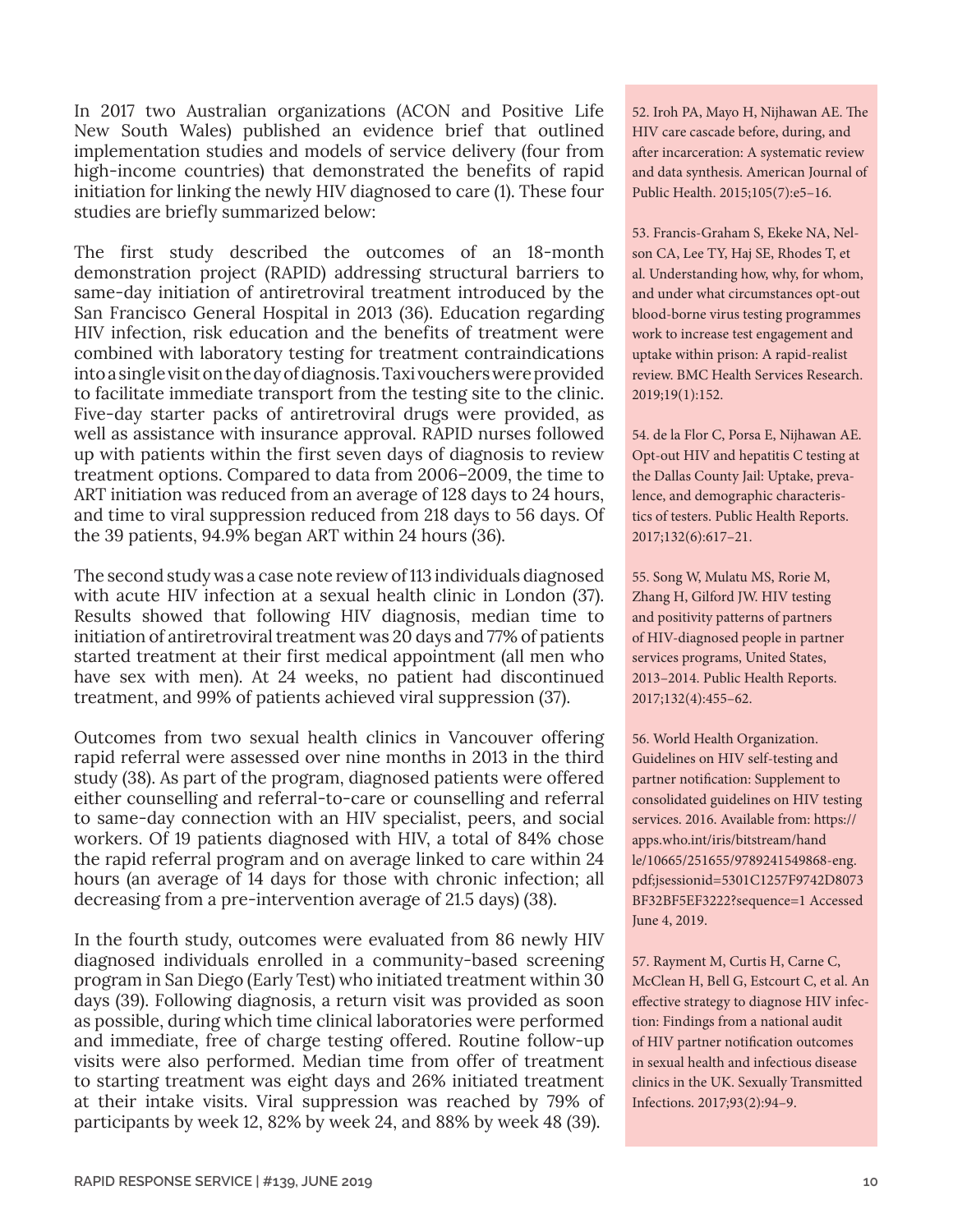In 2017 two Australian organizations (ACON and Positive Life New South Wales) published an evidence brief that outlined implementation studies and models of service delivery (four from high-income countries) that demonstrated the benefits of rapid initiation for linking the newly HIV diagnosed to care (1). These four studies are briefly summarized below:

The first study described the outcomes of an 18-month demonstration project (RAPID) addressing structural barriers to same-day initiation of antiretroviral treatment introduced by the San Francisco General Hospital in 2013 (36). Education regarding HIV infection, risk education and the benefits of treatment were combined with laboratory testing for treatment contraindications into a single visit on the day of diagnosis. Taxi vouchers were provided to facilitate immediate transport from the testing site to the clinic. Five-day starter packs of antiretroviral drugs were provided, as well as assistance with insurance approval. RAPID nurses followed up with patients within the first seven days of diagnosis to review treatment options. Compared to data from 2006–2009, the time to ART initiation was reduced from an average of 128 days to 24 hours, and time to viral suppression reduced from 218 days to 56 days. Of the 39 patients, 94.9% began ART within 24 hours (36).

The second study was a case note review of 113 individuals diagnosed with acute HIV infection at a sexual health clinic in London (37). Results showed that following HIV diagnosis, median time to initiation of antiretroviral treatment was 20 days and 77% of patients started treatment at their first medical appointment (all men who have sex with men). At 24 weeks, no patient had discontinued treatment, and 99% of patients achieved viral suppression (37).

Outcomes from two sexual health clinics in Vancouver offering rapid referral were assessed over nine months in 2013 in the third study (38). As part of the program, diagnosed patients were offered either counselling and referral-to-care or counselling and referral to same-day connection with an HIV specialist, peers, and social workers. Of 19 patients diagnosed with HIV, a total of 84% chose the rapid referral program and on average linked to care within 24 hours (an average of 14 days for those with chronic infection; all decreasing from a pre-intervention average of 21.5 days) (38).

In the fourth study, outcomes were evaluated from 86 newly HIV diagnosed individuals enrolled in a community-based screening program in San Diego (Early Test) who initiated treatment within 30 days (39). Following diagnosis, a return visit was provided as soon as possible, during which time clinical laboratories were performed and immediate, free of charge testing offered. Routine follow-up visits were also performed. Median time from offer of treatment to starting treatment was eight days and 26% initiated treatment at their intake visits. Viral suppression was reached by 79% of participants by week 12, 82% by week 24, and 88% by week 48 (39).

52. Iroh PA, Mayo H, Nijhawan AE. The HIV care cascade before, during, and after incarceration: A systematic review and data synthesis. American Journal of Public Health. 2015;105(7):e5–16.

53. Francis-Graham S, Ekeke NA, Nelson CA, Lee TY, Haj SE, Rhodes T, et al. Understanding how, why, for whom, and under what circumstances opt-out blood-borne virus testing programmes work to increase test engagement and uptake within prison: A rapid-realist review. BMC Health Services Research. 2019;19(1):152.

54. de la Flor C, Porsa E, Nijhawan AE. Opt-out HIV and hepatitis C testing at the Dallas County Jail: Uptake, prevalence, and demographic characteristics of testers. Public Health Reports. 2017;132(6):617–21.

55. Song W, Mulatu MS, Rorie M, Zhang H, Gilford JW. HIV testing and positivity patterns of partners of HIV-diagnosed people in partner services programs, United States, 2013–2014. Public Health Reports. 2017;132(4):455–62.

56. World Health Organization. Guidelines on HIV self-testing and partner notification: Supplement to consolidated guidelines on HIV testing services. 2016. Available from: [https://](https://apps.who.int/iris/bitstream/handle/10665/251655/9789241549868-eng.pdf;jsessionid=5301C1257F9742D8073BF32BF5EF3222?sequence=1) [apps.who.int/iris/bitstream/hand](https://apps.who.int/iris/bitstream/handle/10665/251655/9789241549868-eng.pdf;jsessionid=5301C1257F9742D8073BF32BF5EF3222?sequence=1) [le/10665/251655/9789241549868-eng.](https://apps.who.int/iris/bitstream/handle/10665/251655/9789241549868-eng.pdf;jsessionid=5301C1257F9742D8073BF32BF5EF3222?sequence=1) [pdf;jsessionid=5301C1257F9742D8073](https://apps.who.int/iris/bitstream/handle/10665/251655/9789241549868-eng.pdf;jsessionid=5301C1257F9742D8073BF32BF5EF3222?sequence=1) [BF32BF5EF3222?sequence=1](https://apps.who.int/iris/bitstream/handle/10665/251655/9789241549868-eng.pdf;jsessionid=5301C1257F9742D8073BF32BF5EF3222?sequence=1) Accessed June 4, 2019.

57. Rayment M, Curtis H, Carne C, McClean H, Bell G, Estcourt C, et al. An effective strategy to diagnose HIV infection: Findings from a national audit of HIV partner notification outcomes in sexual health and infectious disease clinics in the UK. Sexually Transmitted Infections. 2017;93(2):94–9.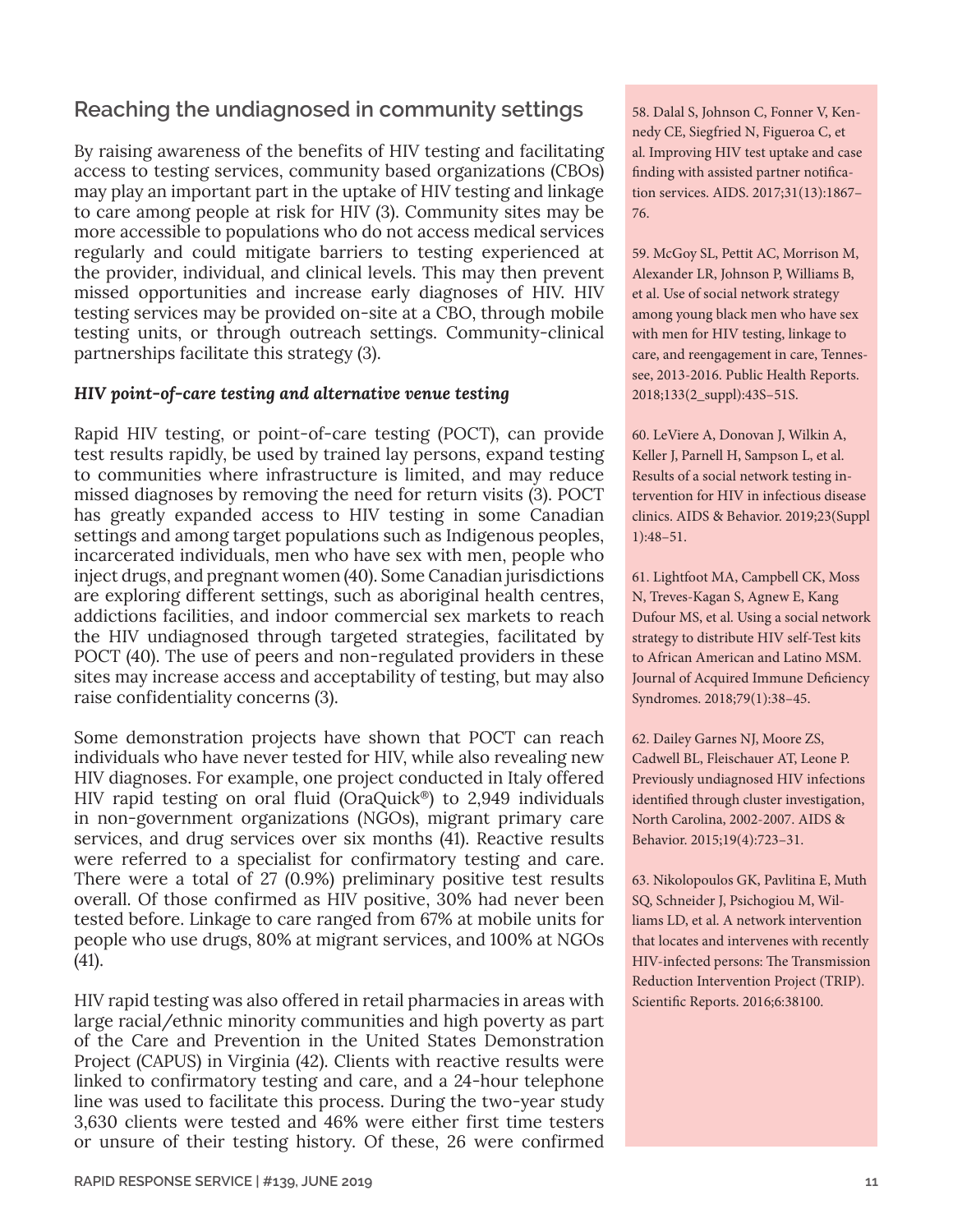# **Reaching the undiagnosed in community settings**

By raising awareness of the benefits of HIV testing and facilitating access to testing services, community based organizations (CBOs) may play an important part in the uptake of HIV testing and linkage to care among people at risk for HIV (3). Community sites may be more accessible to populations who do not access medical services regularly and could mitigate barriers to testing experienced at the provider, individual, and clinical levels. This may then prevent missed opportunities and increase early diagnoses of HIV. HIV testing services may be provided on-site at a CBO, through mobile testing units, or through outreach settings. Community-clinical partnerships facilitate this strategy (3).

#### *HIV point-of-care testing and alternative venue testing*

Rapid HIV testing, or point-of-care testing (POCT), can provide test results rapidly, be used by trained lay persons, expand testing to communities where infrastructure is limited, and may reduce missed diagnoses by removing the need for return visits (3). POCT has greatly expanded access to HIV testing in some Canadian settings and among target populations such as Indigenous peoples, incarcerated individuals, men who have sex with men, people who inject drugs, and pregnant women (40). Some Canadian jurisdictions are exploring different settings, such as aboriginal health centres, addictions facilities, and indoor commercial sex markets to reach the HIV undiagnosed through targeted strategies, facilitated by POCT (40). The use of peers and non-regulated providers in these sites may increase access and acceptability of testing, but may also raise confidentiality concerns (3).

Some demonstration projects have shown that POCT can reach individuals who have never tested for HIV, while also revealing new HIV diagnoses. For example, one project conducted in Italy offered HIV rapid testing on oral fluid (OraQuick®) to 2,949 individuals in non-government organizations (NGOs), migrant primary care services, and drug services over six months (41). Reactive results were referred to a specialist for confirmatory testing and care. There were a total of 27 (0.9%) preliminary positive test results overall. Of those confirmed as HIV positive, 30% had never been tested before. Linkage to care ranged from 67% at mobile units for people who use drugs, 80% at migrant services, and 100% at NGOs (41).

HIV rapid testing was also offered in retail pharmacies in areas with large racial/ethnic minority communities and high poverty as part of the Care and Prevention in the United States Demonstration Project (CAPUS) in Virginia (42). Clients with reactive results were linked to confirmatory testing and care, and a 24-hour telephone line was used to facilitate this process. During the two-year study 3,630 clients were tested and 46% were either first time testers or unsure of their testing history. Of these, 26 were confirmed 58. Dalal S, Johnson C, Fonner V, Kennedy CE, Siegfried N, Figueroa C, et al. Improving HIV test uptake and case finding with assisted partner notification services. AIDS. 2017;31(13):1867– 76.

59. McGoy SL, Pettit AC, Morrison M, Alexander LR, Johnson P, Williams B, et al. Use of social network strategy among young black men who have sex with men for HIV testing, linkage to care, and reengagement in care, Tennessee, 2013-2016. Public Health Reports. 2018;133(2\_suppl):43S–51S.

60. LeViere A, Donovan J, Wilkin A, Keller J, Parnell H, Sampson L, et al. Results of a social network testing intervention for HIV in infectious disease clinics. AIDS & Behavior. 2019;23(Suppl 1):48–51.

61. Lightfoot MA, Campbell CK, Moss N, Treves-Kagan S, Agnew E, Kang Dufour MS, et al. Using a social network strategy to distribute HIV self-Test kits to African American and Latino MSM. Journal of Acquired Immune Deficiency Syndromes. 2018;79(1):38–45.

62. Dailey Garnes NJ, Moore ZS, Cadwell BL, Fleischauer AT, Leone P. Previously undiagnosed HIV infections identified through cluster investigation, North Carolina, 2002-2007. AIDS & Behavior. 2015;19(4):723–31.

63. Nikolopoulos GK, Pavlitina E, Muth SQ, Schneider J, Psichogiou M, Williams LD, et al. A network intervention that locates and intervenes with recently HIV-infected persons: The Transmission Reduction Intervention Project (TRIP). Scientific Reports. 2016;6:38100.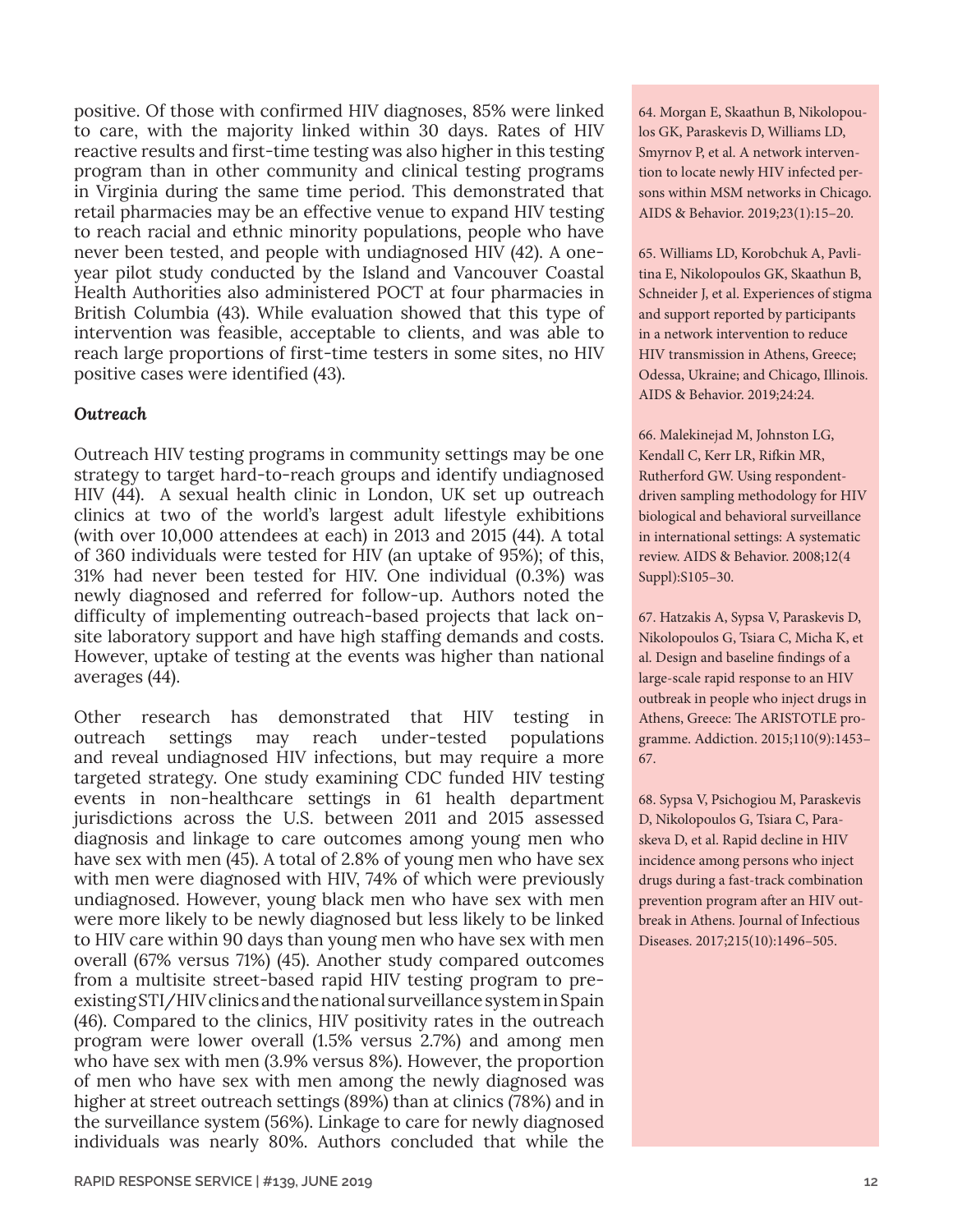positive. Of those with confirmed HIV diagnoses, 85% were linked to care, with the majority linked within 30 days. Rates of HIV reactive results and first-time testing was also higher in this testing program than in other community and clinical testing programs in Virginia during the same time period. This demonstrated that retail pharmacies may be an effective venue to expand HIV testing to reach racial and ethnic minority populations, people who have never been tested, and people with undiagnosed HIV (42). A oneyear pilot study conducted by the Island and Vancouver Coastal Health Authorities also administered POCT at four pharmacies in British Columbia (43). While evaluation showed that this type of intervention was feasible, acceptable to clients, and was able to reach large proportions of first-time testers in some sites, no HIV positive cases were identified (43).

#### *Outreach*

Outreach HIV testing programs in community settings may be one strategy to target hard-to-reach groups and identify undiagnosed HIV (44). A sexual health clinic in London, UK set up outreach clinics at two of the world's largest adult lifestyle exhibitions (with over 10,000 attendees at each) in 2013 and 2015 (44). A total of 360 individuals were tested for HIV (an uptake of 95%); of this, 31% had never been tested for HIV. One individual (0.3%) was newly diagnosed and referred for follow-up. Authors noted the difficulty of implementing outreach-based projects that lack onsite laboratory support and have high staffing demands and costs. However, uptake of testing at the events was higher than national averages (44).

Other research has demonstrated that HIV testing in outreach settings may reach under-tested populations and reveal undiagnosed HIV infections, but may require a more targeted strategy. One study examining CDC funded HIV testing events in non-healthcare settings in 61 health department jurisdictions across the U.S. between 2011 and 2015 assessed diagnosis and linkage to care outcomes among young men who have sex with men (45). A total of 2.8% of young men who have sex with men were diagnosed with HIV, 74% of which were previously undiagnosed. However, young black men who have sex with men were more likely to be newly diagnosed but less likely to be linked to HIV care within 90 days than young men who have sex with men overall (67% versus 71%) (45). Another study compared outcomes from a multisite street-based rapid HIV testing program to preexisting STI/HIV clinics and the national surveillance system in Spain (46). Compared to the clinics, HIV positivity rates in the outreach program were lower overall (1.5% versus 2.7%) and among men who have sex with men (3.9% versus 8%). However, the proportion of men who have sex with men among the newly diagnosed was higher at street outreach settings (89%) than at clinics (78%) and in the surveillance system (56%). Linkage to care for newly diagnosed individuals was nearly 80%. Authors concluded that while the

64. Morgan E, Skaathun B, Nikolopoulos GK, Paraskevis D, Williams LD, Smyrnov P, et al. A network intervention to locate newly HIV infected persons within MSM networks in Chicago. AIDS & Behavior. 2019;23(1):15–20.

65. Williams LD, Korobchuk A, Pavlitina E, Nikolopoulos GK, Skaathun B, Schneider J, et al. Experiences of stigma and support reported by participants in a network intervention to reduce HIV transmission in Athens, Greece; Odessa, Ukraine; and Chicago, Illinois. AIDS & Behavior. 2019;24:24.

66. Malekinejad M, Johnston LG, Kendall C, Kerr LR, Rifkin MR, Rutherford GW. Using respondentdriven sampling methodology for HIV biological and behavioral surveillance in international settings: A systematic review. AIDS & Behavior. 2008;12(4 Suppl):S105–30.

67. Hatzakis A, Sypsa V, Paraskevis D, Nikolopoulos G, Tsiara C, Micha K, et al. Design and baseline findings of a large-scale rapid response to an HIV outbreak in people who inject drugs in Athens, Greece: The ARISTOTLE programme. Addiction. 2015;110(9):1453– 67.

68. Sypsa V, Psichogiou M, Paraskevis D, Nikolopoulos G, Tsiara C, Paraskeva D, et al. Rapid decline in HIV incidence among persons who inject drugs during a fast-track combination prevention program after an HIV outbreak in Athens. Journal of Infectious Diseases. 2017;215(10):1496–505.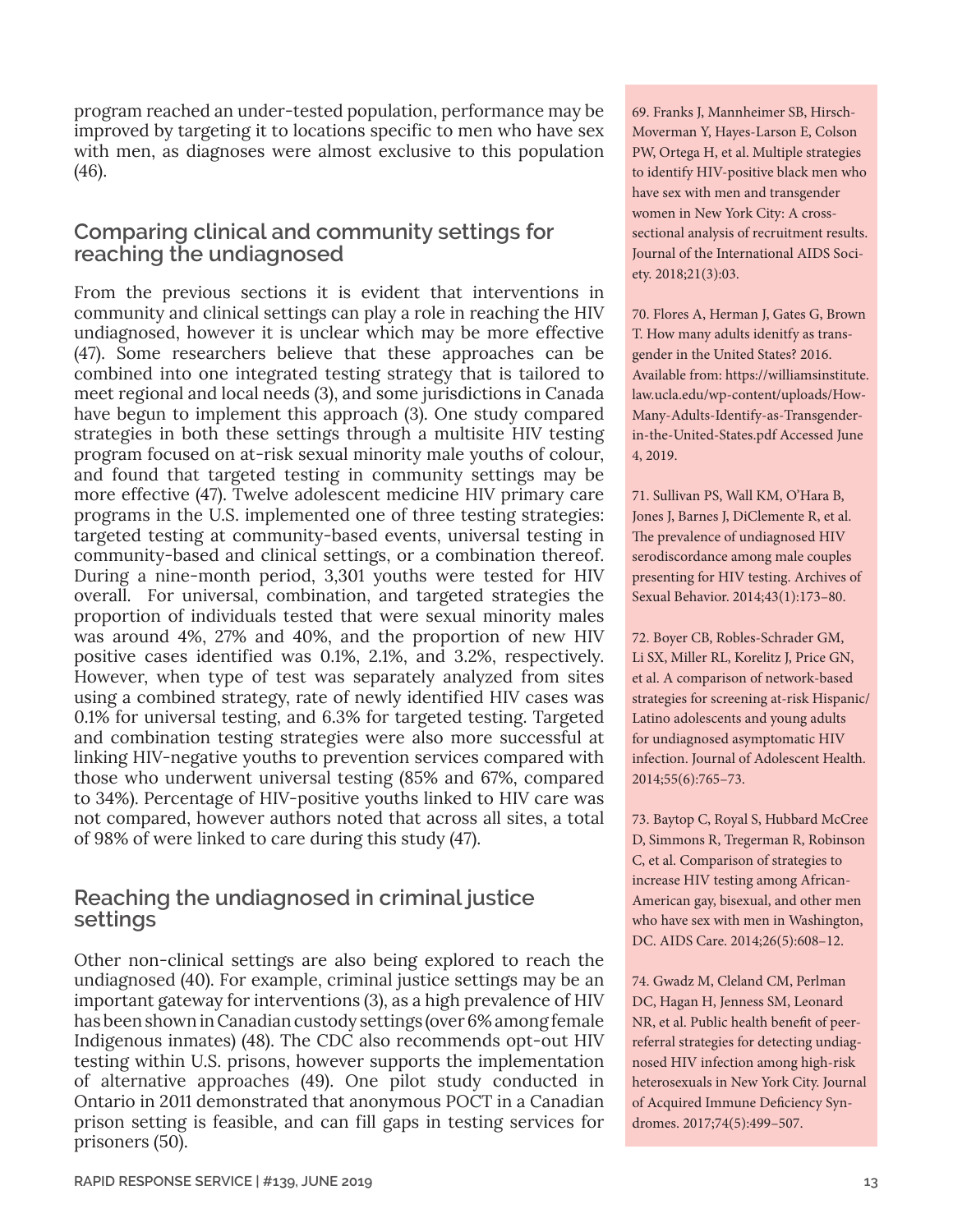program reached an under-tested population, performance may be improved by targeting it to locations specific to men who have sex with men, as diagnoses were almost exclusive to this population (46).

# **Comparing clinical and community settings for reaching the undiagnosed**

From the previous sections it is evident that interventions in community and clinical settings can play a role in reaching the HIV undiagnosed, however it is unclear which may be more effective (47). Some researchers believe that these approaches can be combined into one integrated testing strategy that is tailored to meet regional and local needs (3), and some jurisdictions in Canada have begun to implement this approach (3). One study compared strategies in both these settings through a multisite HIV testing program focused on at-risk sexual minority male youths of colour, and found that targeted testing in community settings may be more effective (47). Twelve adolescent medicine HIV primary care programs in the U.S. implemented one of three testing strategies: targeted testing at community-based events, universal testing in community-based and clinical settings, or a combination thereof. During a nine-month period, 3,301 youths were tested for HIV overall. For universal, combination, and targeted strategies the proportion of individuals tested that were sexual minority males was around 4%, 27% and 40%, and the proportion of new HIV positive cases identified was 0.1%, 2.1%, and 3.2%, respectively. However, when type of test was separately analyzed from sites using a combined strategy, rate of newly identified HIV cases was 0.1% for universal testing, and 6.3% for targeted testing. Targeted and combination testing strategies were also more successful at linking HIV-negative youths to prevention services compared with those who underwent universal testing (85% and 67%, compared to 34%). Percentage of HIV-positive youths linked to HIV care was not compared, however authors noted that across all sites, a total of 98% of were linked to care during this study (47).

# **Reaching the undiagnosed in criminal justice settings**

Other non-clinical settings are also being explored to reach the undiagnosed (40). For example, criminal justice settings may be an important gateway for interventions (3), as a high prevalence of HIV has been shown in Canadian custody settings (over 6% among female Indigenous inmates) (48). The CDC also recommends opt-out HIV testing within U.S. prisons, however supports the implementation of alternative approaches (49). One pilot study conducted in Ontario in 2011 demonstrated that anonymous POCT in a Canadian prison setting is feasible, and can fill gaps in testing services for prisoners (50).

69. Franks J, Mannheimer SB, Hirsch-Moverman Y, Hayes-Larson E, Colson PW, Ortega H, et al. Multiple strategies to identify HIV-positive black men who have sex with men and transgender women in New York City: A crosssectional analysis of recruitment results. Journal of the International AIDS Society. 2018;21(3):03.

70. Flores A, Herman J, Gates G, Brown T. How many adults idenitfy as transgender in the United States? 2016. Available from: [https://williamsinstitute.](https://williamsinstitute.law.ucla.edu/wp-content/uploads/How-Many-Adults-Identify-as-Transgender-in-the-United-States.pdf) [law.ucla.edu/wp-content/uploads/How-](https://williamsinstitute.law.ucla.edu/wp-content/uploads/How-Many-Adults-Identify-as-Transgender-in-the-United-States.pdf)[Many-Adults-Identify-as-Transgender](https://williamsinstitute.law.ucla.edu/wp-content/uploads/How-Many-Adults-Identify-as-Transgender-in-the-United-States.pdf)[in-the-United-States.pdf](https://williamsinstitute.law.ucla.edu/wp-content/uploads/How-Many-Adults-Identify-as-Transgender-in-the-United-States.pdf) Accessed June 4, 2019.

71. Sullivan PS, Wall KM, O'Hara B, Jones J, Barnes J, DiClemente R, et al. The prevalence of undiagnosed HIV serodiscordance among male couples presenting for HIV testing. Archives of Sexual Behavior. 2014;43(1):173–80.

72. Boyer CB, Robles-Schrader GM, Li SX, Miller RL, Korelitz J, Price GN, et al. A comparison of network-based strategies for screening at-risk Hispanic/ Latino adolescents and young adults for undiagnosed asymptomatic HIV infection. Journal of Adolescent Health. 2014;55(6):765–73.

73. Baytop C, Royal S, Hubbard McCree D, Simmons R, Tregerman R, Robinson C, et al. Comparison of strategies to increase HIV testing among African-American gay, bisexual, and other men who have sex with men in Washington, DC. AIDS Care. 2014;26(5):608–12.

74. Gwadz M, Cleland CM, Perlman DC, Hagan H, Jenness SM, Leonard NR, et al. Public health benefit of peerreferral strategies for detecting undiagnosed HIV infection among high-risk heterosexuals in New York City. Journal of Acquired Immune Deficiency Syndromes. 2017;74(5):499–507.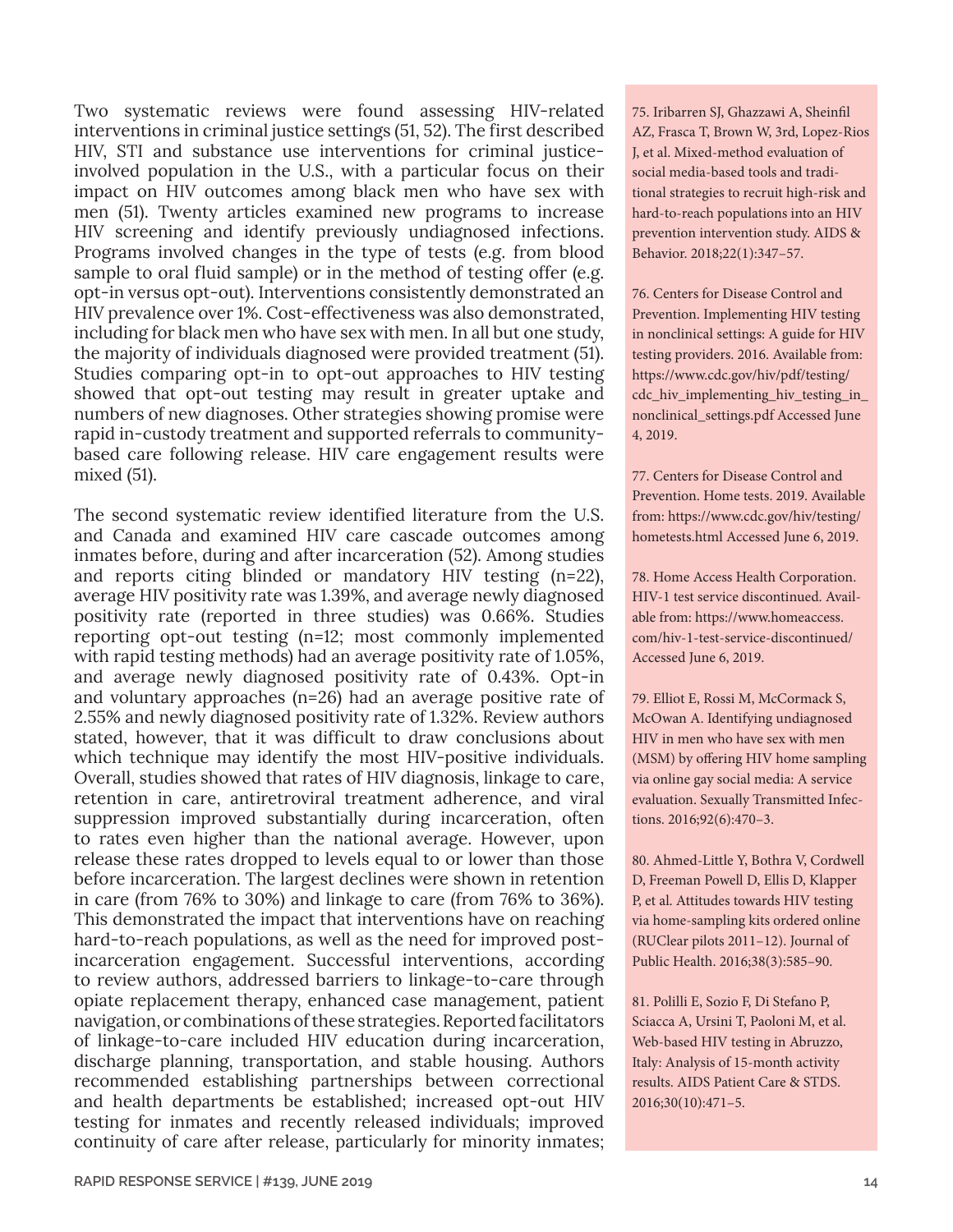Two systematic reviews were found assessing HIV-related interventions in criminal justice settings (51, 52). The first described HIV, STI and substance use interventions for criminal justiceinvolved population in the U.S., with a particular focus on their impact on HIV outcomes among black men who have sex with men (51). Twenty articles examined new programs to increase HIV screening and identify previously undiagnosed infections. Programs involved changes in the type of tests (e.g. from blood sample to oral fluid sample) or in the method of testing offer (e.g. opt-in versus opt-out). Interventions consistently demonstrated an HIV prevalence over 1%. Cost-effectiveness was also demonstrated, including for black men who have sex with men. In all but one study, the majority of individuals diagnosed were provided treatment (51). Studies comparing opt-in to opt-out approaches to HIV testing showed that opt-out testing may result in greater uptake and numbers of new diagnoses. Other strategies showing promise were rapid in-custody treatment and supported referrals to communitybased care following release. HIV care engagement results were mixed (51).

The second systematic review identified literature from the U.S. and Canada and examined HIV care cascade outcomes among inmates before, during and after incarceration (52). Among studies and reports citing blinded or mandatory HIV testing (n=22), average HIV positivity rate was 1.39%, and average newly diagnosed positivity rate (reported in three studies) was 0.66%. Studies reporting opt-out testing (n=12; most commonly implemented with rapid testing methods) had an average positivity rate of 1.05%, and average newly diagnosed positivity rate of 0.43%. Opt-in and voluntary approaches (n=26) had an average positive rate of 2.55% and newly diagnosed positivity rate of 1.32%. Review authors stated, however, that it was difficult to draw conclusions about which technique may identify the most HIV-positive individuals. Overall, studies showed that rates of HIV diagnosis, linkage to care, retention in care, antiretroviral treatment adherence, and viral suppression improved substantially during incarceration, often to rates even higher than the national average. However, upon release these rates dropped to levels equal to or lower than those before incarceration. The largest declines were shown in retention in care (from 76% to 30%) and linkage to care (from 76% to 36%). This demonstrated the impact that interventions have on reaching hard-to-reach populations, as well as the need for improved postincarceration engagement. Successful interventions, according to review authors, addressed barriers to linkage-to-care through opiate replacement therapy, enhanced case management, patient navigation, or combinations of these strategies. Reported facilitators of linkage-to-care included HIV education during incarceration, discharge planning, transportation, and stable housing. Authors recommended establishing partnerships between correctional and health departments be established; increased opt-out HIV testing for inmates and recently released individuals; improved continuity of care after release, particularly for minority inmates;

75. Iribarren SJ, Ghazzawi A, Sheinfil AZ, Frasca T, Brown W, 3rd, Lopez-Rios J, et al. Mixed-method evaluation of social media-based tools and traditional strategies to recruit high-risk and hard-to-reach populations into an HIV prevention intervention study. AIDS & Behavior. 2018;22(1):347–57.

76. Centers for Disease Control and Prevention. Implementing HIV testing in nonclinical settings: A guide for HIV testing providers. 2016. Available from: [https://www.cdc.gov/hiv/pdf/testing/](https://www.cdc.gov/hiv/pdf/testing/cdc_hiv_implementing_hiv_testing_in_nonclinical_settings.pdf) [cdc\\_hiv\\_implementing\\_hiv\\_testing\\_in\\_](https://www.cdc.gov/hiv/pdf/testing/cdc_hiv_implementing_hiv_testing_in_nonclinical_settings.pdf) [nonclinical\\_settings.pdf](https://www.cdc.gov/hiv/pdf/testing/cdc_hiv_implementing_hiv_testing_in_nonclinical_settings.pdf) Accessed June 4, 2019.

77. Centers for Disease Control and Prevention. Home tests. 2019. Available from: [https://www.cdc.gov/hiv/testing/](https://www.cdc.gov/hiv/testing/hometests.html) [hometests.html](https://www.cdc.gov/hiv/testing/hometests.html) Accessed June 6, 2019.

78. Home Access Health Corporation. HIV-1 test service discontinued. Available from: [https://www.homeaccess.](https://www.homeaccess.com/hiv-1-test-service-discontinued/ ) [com/hiv-1-test-service-discontinued/](https://www.homeaccess.com/hiv-1-test-service-discontinued/ )  Accessed June 6, 2019.

79. Elliot E, Rossi M, McCormack S, McOwan A. Identifying undiagnosed HIV in men who have sex with men (MSM) by offering HIV home sampling via online gay social media: A service evaluation. Sexually Transmitted Infections. 2016;92(6):470–3.

80. Ahmed-Little Y, Bothra V, Cordwell D, Freeman Powell D, Ellis D, Klapper P, et al. Attitudes towards HIV testing via home-sampling kits ordered online (RUClear pilots 2011–12). Journal of Public Health. 2016;38(3):585–90.

81. Polilli E, Sozio F, Di Stefano P, Sciacca A, Ursini T, Paoloni M, et al. Web-based HIV testing in Abruzzo, Italy: Analysis of 15-month activity results. AIDS Patient Care & STDS. 2016;30(10):471–5.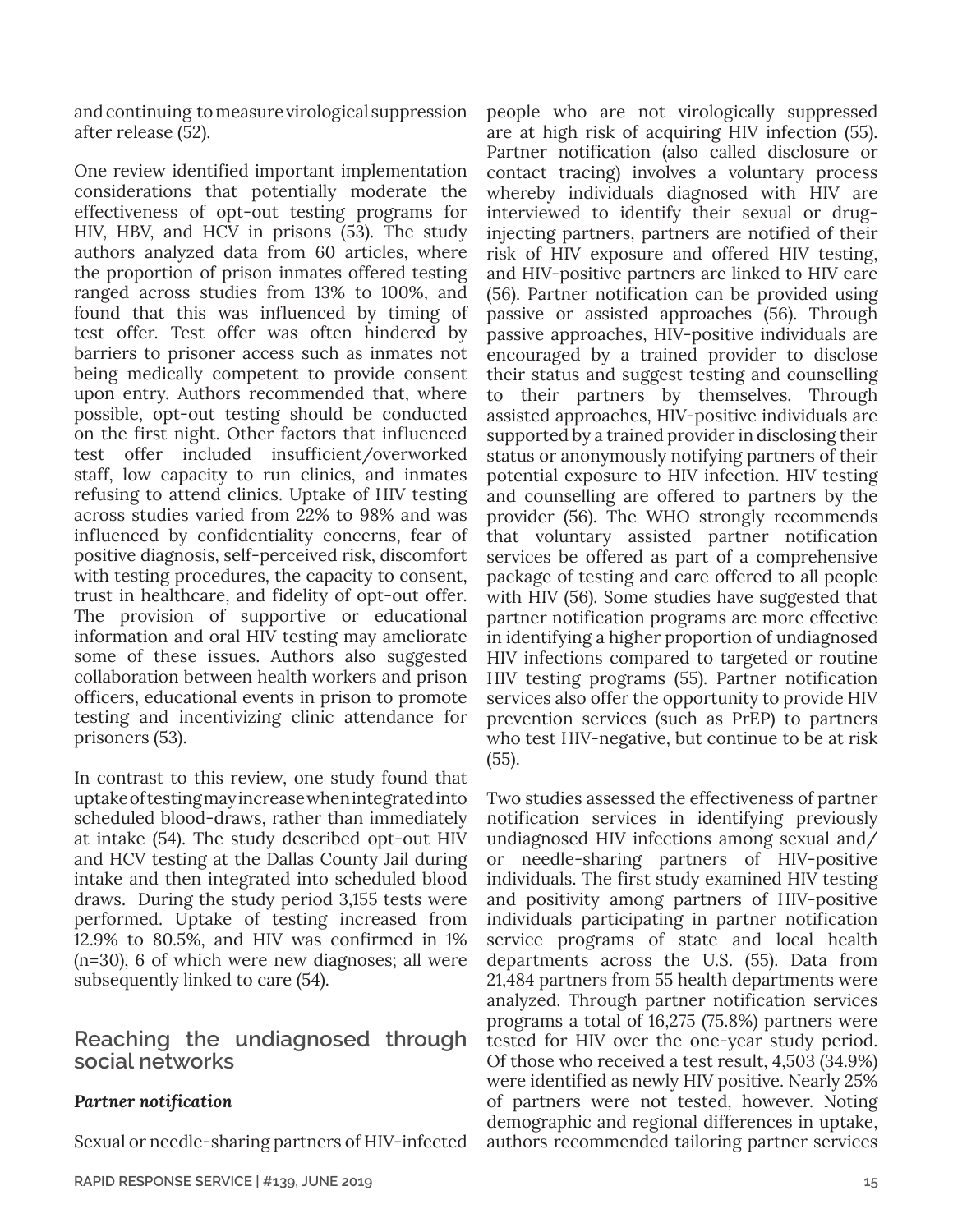and continuing to measure virological suppression after release (52).

One review identified important implementation considerations that potentially moderate the effectiveness of opt-out testing programs for HIV, HBV, and HCV in prisons (53). The study authors analyzed data from 60 articles, where the proportion of prison inmates offered testing ranged across studies from 13% to 100%, and found that this was influenced by timing of test offer. Test offer was often hindered by barriers to prisoner access such as inmates not being medically competent to provide consent upon entry. Authors recommended that, where possible, opt-out testing should be conducted on the first night. Other factors that influenced test offer included insufficient/overworked staff, low capacity to run clinics, and inmates refusing to attend clinics. Uptake of HIV testing across studies varied from 22% to 98% and was influenced by confidentiality concerns, fear of positive diagnosis, self-perceived risk, discomfort with testing procedures, the capacity to consent, trust in healthcare, and fidelity of opt-out offer. The provision of supportive or educational information and oral HIV testing may ameliorate some of these issues. Authors also suggested collaboration between health workers and prison officers, educational events in prison to promote testing and incentivizing clinic attendance for prisoners (53).

In contrast to this review, one study found that uptake of testing may increase when integrated into scheduled blood-draws, rather than immediately at intake (54). The study described opt-out HIV and HCV testing at the Dallas County Jail during intake and then integrated into scheduled blood draws. During the study period 3,155 tests were performed. Uptake of testing increased from 12.9% to 80.5%, and HIV was confirmed in 1% (n=30), 6 of which were new diagnoses; all were subsequently linked to care (54).

# **Reaching the undiagnosed through social networks**

## *Partner notification*

Sexual or needle-sharing partners of HIV-infected

people who are not virologically suppressed are at high risk of acquiring HIV infection (55). Partner notification (also called disclosure or contact tracing) involves a voluntary process whereby individuals diagnosed with HIV are interviewed to identify their sexual or druginjecting partners, partners are notified of their risk of HIV exposure and offered HIV testing, and HIV-positive partners are linked to HIV care (56). Partner notification can be provided using passive or assisted approaches (56). Through passive approaches, HIV-positive individuals are encouraged by a trained provider to disclose their status and suggest testing and counselling to their partners by themselves. Through assisted approaches, HIV-positive individuals are supported by a trained provider in disclosing their status or anonymously notifying partners of their potential exposure to HIV infection. HIV testing and counselling are offered to partners by the provider (56). The WHO strongly recommends that voluntary assisted partner notification services be offered as part of a comprehensive package of testing and care offered to all people with HIV (56). Some studies have suggested that partner notification programs are more effective in identifying a higher proportion of undiagnosed HIV infections compared to targeted or routine HIV testing programs (55). Partner notification services also offer the opportunity to provide HIV prevention services (such as PrEP) to partners who test HIV-negative, but continue to be at risk (55).

Two studies assessed the effectiveness of partner notification services in identifying previously undiagnosed HIV infections among sexual and/ or needle-sharing partners of HIV-positive individuals. The first study examined HIV testing and positivity among partners of HIV-positive individuals participating in partner notification service programs of state and local health departments across the U.S. (55). Data from 21,484 partners from 55 health departments were analyzed. Through partner notification services programs a total of 16,275 (75.8%) partners were tested for HIV over the one-year study period. Of those who received a test result, 4,503 (34.9%) were identified as newly HIV positive. Nearly 25% of partners were not tested, however. Noting demographic and regional differences in uptake, authors recommended tailoring partner services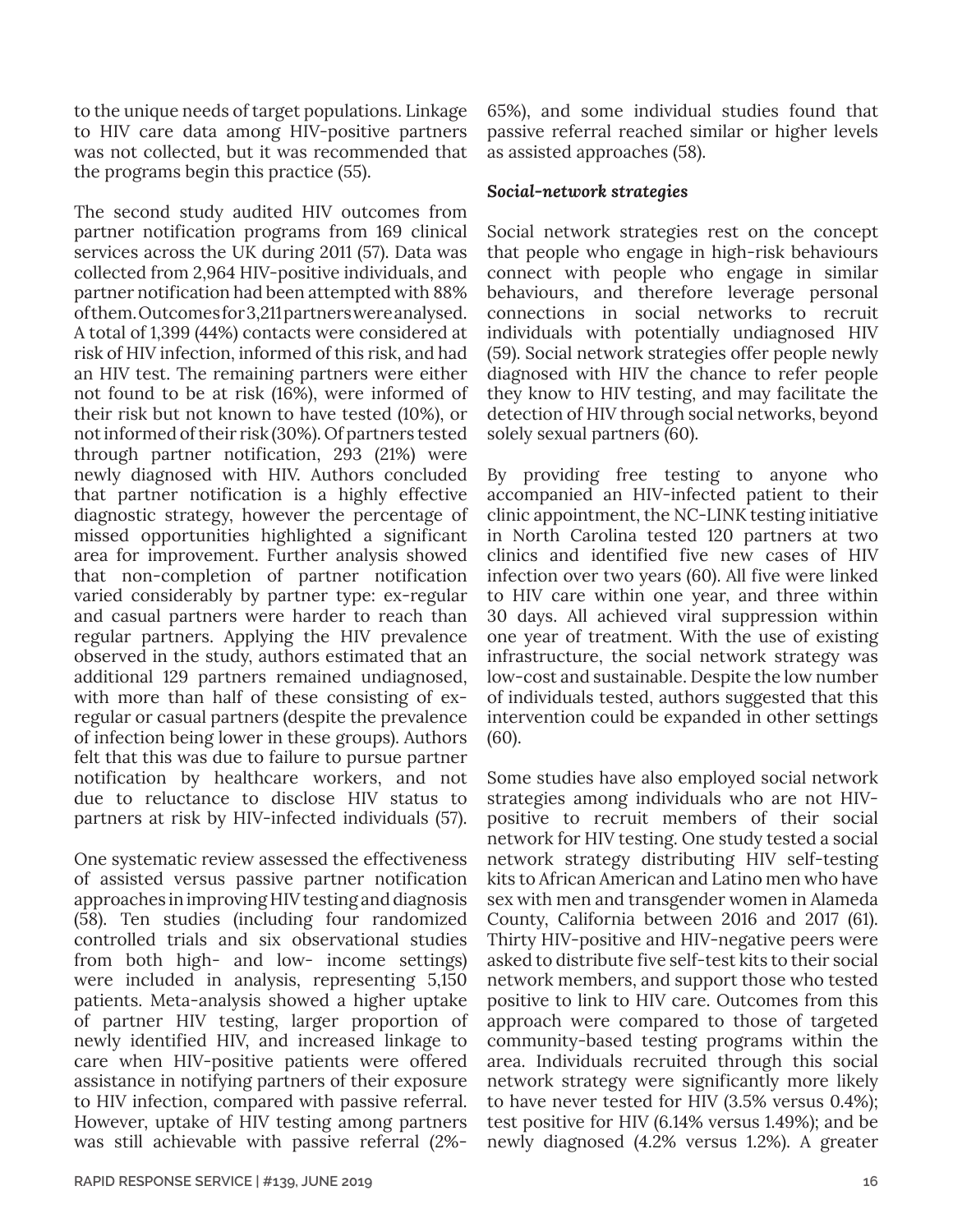to the unique needs of target populations. Linkage to HIV care data among HIV-positive partners was not collected, but it was recommended that the programs begin this practice (55).

The second study audited HIV outcomes from partner notification programs from 169 clinical services across the UK during 2011 (57). Data was collected from 2,964 HIV-positive individuals, and partner notification had been attempted with 88% of them. Outcomes for 3,211 partners were analysed. A total of 1,399 (44%) contacts were considered at risk of HIV infection, informed of this risk, and had an HIV test. The remaining partners were either not found to be at risk (16%), were informed of their risk but not known to have tested (10%), or not informed of their risk (30%). Of partners tested through partner notification, 293 (21%) were newly diagnosed with HIV. Authors concluded that partner notification is a highly effective diagnostic strategy, however the percentage of missed opportunities highlighted a significant area for improvement. Further analysis showed that non-completion of partner notification varied considerably by partner type: ex-regular and casual partners were harder to reach than regular partners. Applying the HIV prevalence observed in the study, authors estimated that an additional 129 partners remained undiagnosed, with more than half of these consisting of exregular or casual partners (despite the prevalence of infection being lower in these groups). Authors felt that this was due to failure to pursue partner notification by healthcare workers, and not due to reluctance to disclose HIV status to partners at risk by HIV-infected individuals (57).

One systematic review assessed the effectiveness of assisted versus passive partner notification approaches in improving HIV testing and diagnosis (58). Ten studies (including four randomized controlled trials and six observational studies from both high- and low- income settings) were included in analysis, representing 5,150 patients. Meta-analysis showed a higher uptake of partner HIV testing, larger proportion of newly identified HIV, and increased linkage to care when HIV-positive patients were offered assistance in notifying partners of their exposure to HIV infection, compared with passive referral. However, uptake of HIV testing among partners was still achievable with passive referral (2%-

65%), and some individual studies found that passive referral reached similar or higher levels as assisted approaches (58).

#### *Social-network strategies*

Social network strategies rest on the concept that people who engage in high-risk behaviours connect with people who engage in similar behaviours, and therefore leverage personal connections in social networks to recruit individuals with potentially undiagnosed HIV (59). Social network strategies offer people newly diagnosed with HIV the chance to refer people they know to HIV testing, and may facilitate the detection of HIV through social networks, beyond solely sexual partners (60).

By providing free testing to anyone who accompanied an HIV-infected patient to their clinic appointment, the NC-LINK testing initiative in North Carolina tested 120 partners at two clinics and identified five new cases of HIV infection over two years (60). All five were linked to HIV care within one year, and three within 30 days. All achieved viral suppression within one year of treatment. With the use of existing infrastructure, the social network strategy was low-cost and sustainable. Despite the low number of individuals tested, authors suggested that this intervention could be expanded in other settings (60).

Some studies have also employed social network strategies among individuals who are not HIVpositive to recruit members of their social network for HIV testing. One study tested a social network strategy distributing HIV self-testing kits to African American and Latino men who have sex with men and transgender women in Alameda County, California between 2016 and 2017 (61). Thirty HIV-positive and HIV-negative peers were asked to distribute five self-test kits to their social network members, and support those who tested positive to link to HIV care. Outcomes from this approach were compared to those of targeted community-based testing programs within the area. Individuals recruited through this social network strategy were significantly more likely to have never tested for HIV (3.5% versus 0.4%); test positive for HIV (6.14% versus 1.49%); and be newly diagnosed (4.2% versus 1.2%). A greater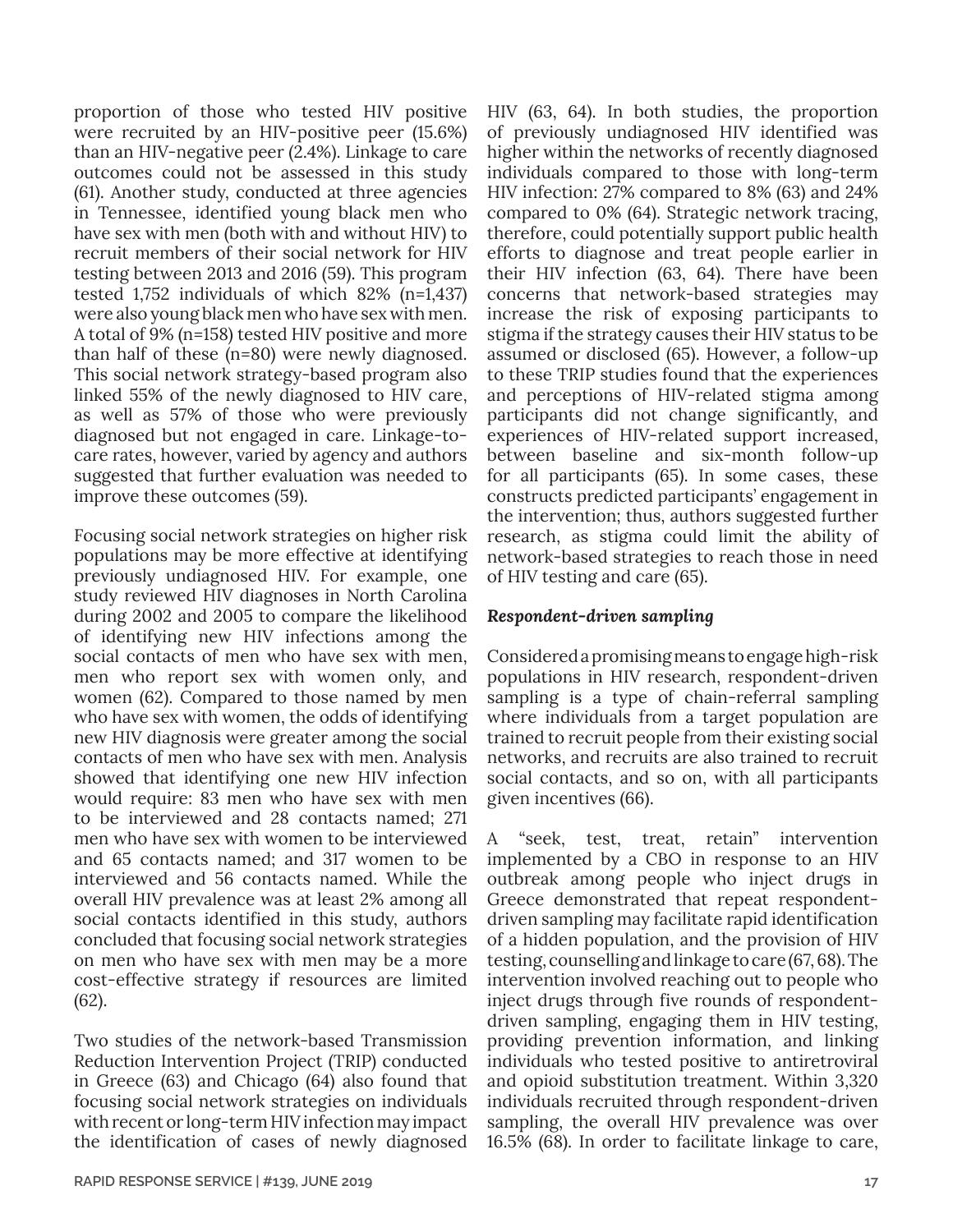proportion of those who tested HIV positive were recruited by an HIV-positive peer (15.6%) than an HIV-negative peer (2.4%). Linkage to care outcomes could not be assessed in this study (61). Another study, conducted at three agencies in Tennessee, identified young black men who have sex with men (both with and without HIV) to recruit members of their social network for HIV testing between 2013 and 2016 (59). This program tested 1,752 individuals of which 82% (n=1,437) were also young black men who have sex with men. A total of 9% (n=158) tested HIV positive and more than half of these (n=80) were newly diagnosed. This social network strategy-based program also linked 55% of the newly diagnosed to HIV care, as well as 57% of those who were previously diagnosed but not engaged in care. Linkage-tocare rates, however, varied by agency and authors suggested that further evaluation was needed to improve these outcomes (59).

Focusing social network strategies on higher risk populations may be more effective at identifying previously undiagnosed HIV. For example, one study reviewed HIV diagnoses in North Carolina during 2002 and 2005 to compare the likelihood of identifying new HIV infections among the social contacts of men who have sex with men, men who report sex with women only, and women (62). Compared to those named by men who have sex with women, the odds of identifying new HIV diagnosis were greater among the social contacts of men who have sex with men. Analysis showed that identifying one new HIV infection would require: 83 men who have sex with men to be interviewed and 28 contacts named; 271 men who have sex with women to be interviewed and 65 contacts named; and 317 women to be interviewed and 56 contacts named. While the overall HIV prevalence was at least 2% among all social contacts identified in this study, authors concluded that focusing social network strategies on men who have sex with men may be a more cost-effective strategy if resources are limited (62).

Two studies of the network-based Transmission Reduction Intervention Project (TRIP) conducted in Greece (63) and Chicago (64) also found that focusing social network strategies on individuals with recent or long-term HIV infection may impact the identification of cases of newly diagnosed

individuals compared to those with long-term HIV infection: 27% compared to 8% (63) and 24% compared to 0% (64). Strategic network tracing, therefore, could potentially support public health efforts to diagnose and treat people earlier in their HIV infection (63, 64). There have been concerns that network-based strategies may increase the risk of exposing participants to stigma if the strategy causes their HIV status to be assumed or disclosed (65). However, a follow-up to these TRIP studies found that the experiences and perceptions of HIV-related stigma among participants did not change significantly, and experiences of HIV-related support increased, between baseline and six-month follow-up for all participants (65). In some cases, these constructs predicted participants' engagement in the intervention; thus, authors suggested further research, as stigma could limit the ability of network-based strategies to reach those in need of HIV testing and care (65). *Respondent-driven sampling*

HIV (63, 64). In both studies, the proportion of previously undiagnosed HIV identified was higher within the networks of recently diagnosed

Considered a promising means to engage high-risk populations in HIV research, respondent-driven sampling is a type of chain-referral sampling where individuals from a target population are trained to recruit people from their existing social networks, and recruits are also trained to recruit social contacts, and so on, with all participants given incentives (66).

A "seek, test, treat, retain" intervention implemented by a CBO in response to an HIV outbreak among people who inject drugs in Greece demonstrated that repeat respondentdriven sampling may facilitate rapid identification of a hidden population, and the provision of HIV testing, counselling and linkage to care (67, 68). The intervention involved reaching out to people who inject drugs through five rounds of respondentdriven sampling, engaging them in HIV testing, providing prevention information, and linking individuals who tested positive to antiretroviral and opioid substitution treatment. Within 3,320 individuals recruited through respondent-driven sampling, the overall HIV prevalence was over 16.5% (68). In order to facilitate linkage to care,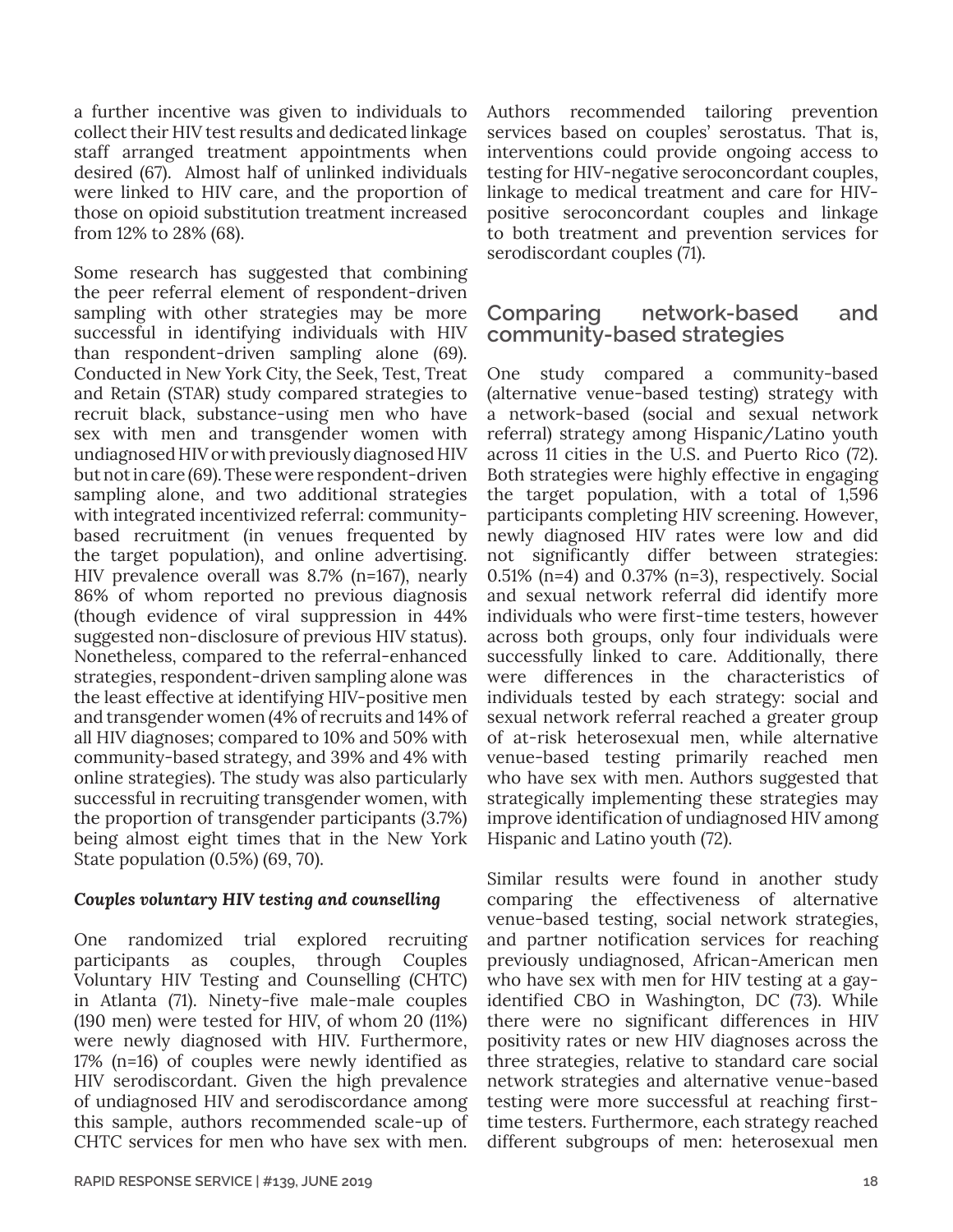a further incentive was given to individuals to collect their HIV test results and dedicated linkage staff arranged treatment appointments when desired (67). Almost half of unlinked individuals were linked to HIV care, and the proportion of those on opioid substitution treatment increased from 12% to 28% (68).

Some research has suggested that combining the peer referral element of respondent-driven sampling with other strategies may be more successful in identifying individuals with HIV than respondent-driven sampling alone (69). Conducted in New York City, the Seek, Test, Treat and Retain (STAR) study compared strategies to recruit black, substance-using men who have sex with men and transgender women with undiagnosed HIV or with previously diagnosed HIV but not in care (69). These were respondent-driven sampling alone, and two additional strategies with integrated incentivized referral: communitybased recruitment (in venues frequented by the target population), and online advertising. HIV prevalence overall was 8.7% (n=167), nearly 86% of whom reported no previous diagnosis (though evidence of viral suppression in 44% suggested non-disclosure of previous HIV status). Nonetheless, compared to the referral-enhanced strategies, respondent-driven sampling alone was the least effective at identifying HIV-positive men and transgender women (4% of recruits and 14% of all HIV diagnoses; compared to 10% and 50% with community-based strategy, and 39% and 4% with online strategies). The study was also particularly successful in recruiting transgender women, with the proportion of transgender participants (3.7%) being almost eight times that in the New York State population (0.5%) (69, 70).

## *Couples voluntary HIV testing and counselling*

One randomized trial explored recruiting participants as couples, through Couples Voluntary HIV Testing and Counselling (CHTC) in Atlanta (71). Ninety-five male-male couples (190 men) were tested for HIV, of whom 20 (11%) were newly diagnosed with HIV. Furthermore, 17% (n=16) of couples were newly identified as HIV serodiscordant. Given the high prevalence of undiagnosed HIV and serodiscordance among this sample, authors recommended scale-up of CHTC services for men who have sex with men.

Authors recommended tailoring prevention services based on couples' serostatus. That is, interventions could provide ongoing access to testing for HIV-negative seroconcordant couples, linkage to medical treatment and care for HIVpositive seroconcordant couples and linkage to both treatment and prevention services for serodiscordant couples (71).

# **Comparing network-based and community-based strategies**

One study compared a community-based (alternative venue-based testing) strategy with a network-based (social and sexual network referral) strategy among Hispanic/Latino youth across 11 cities in the U.S. and Puerto Rico (72). Both strategies were highly effective in engaging the target population, with a total of 1,596 participants completing HIV screening. However, newly diagnosed HIV rates were low and did not significantly differ between strategies: 0.51% ( $n=4$ ) and 0.37% ( $n=3$ ), respectively. Social and sexual network referral did identify more individuals who were first-time testers, however across both groups, only four individuals were successfully linked to care. Additionally, there were differences in the characteristics of individuals tested by each strategy: social and sexual network referral reached a greater group of at-risk heterosexual men, while alternative venue-based testing primarily reached men who have sex with men. Authors suggested that strategically implementing these strategies may improve identification of undiagnosed HIV among Hispanic and Latino youth (72).

Similar results were found in another study comparing the effectiveness of alternative venue-based testing, social network strategies, and partner notification services for reaching previously undiagnosed, African-American men who have sex with men for HIV testing at a gayidentified CBO in Washington, DC (73). While there were no significant differences in HIV positivity rates or new HIV diagnoses across the three strategies, relative to standard care social network strategies and alternative venue-based testing were more successful at reaching firsttime testers. Furthermore, each strategy reached different subgroups of men: heterosexual men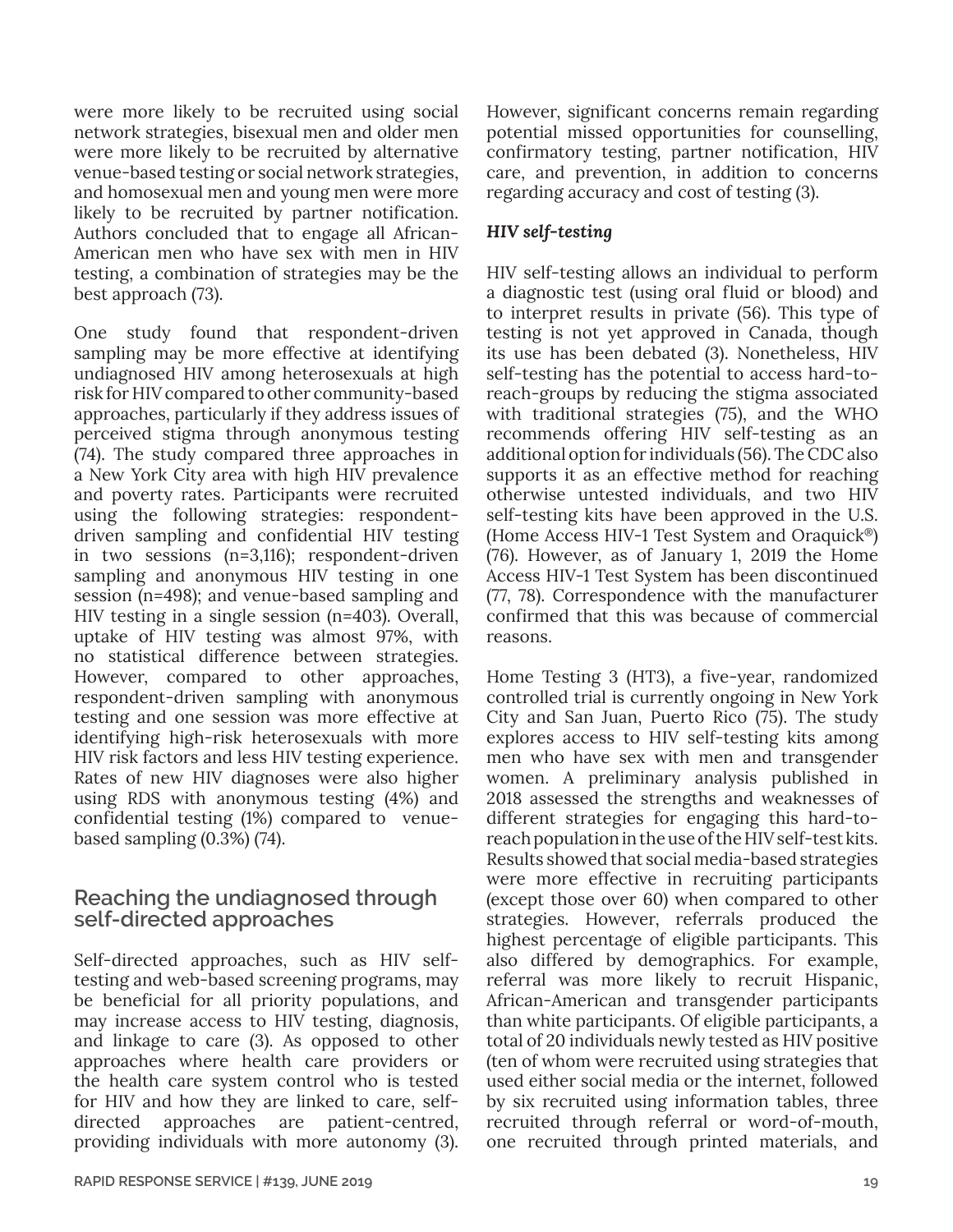were more likely to be recruited using social network strategies, bisexual men and older men were more likely to be recruited by alternative venue-based testing or social network strategies, and homosexual men and young men were more likely to be recruited by partner notification. Authors concluded that to engage all African-American men who have sex with men in HIV testing, a combination of strategies may be the best approach (73).

One study found that respondent-driven sampling may be more effective at identifying undiagnosed HIV among heterosexuals at high risk for HIV compared to other community-based approaches, particularly if they address issues of perceived stigma through anonymous testing (74). The study compared three approaches in a New York City area with high HIV prevalence and poverty rates. Participants were recruited using the following strategies: respondentdriven sampling and confidential HIV testing in two sessions (n=3,116); respondent-driven sampling and anonymous HIV testing in one session (n=498); and venue-based sampling and HIV testing in a single session (n=403). Overall, uptake of HIV testing was almost 97%, with no statistical difference between strategies. However, compared to other approaches, respondent-driven sampling with anonymous testing and one session was more effective at identifying high-risk heterosexuals with more HIV risk factors and less HIV testing experience. Rates of new HIV diagnoses were also higher using RDS with anonymous testing (4%) and confidential testing (1%) compared to venuebased sampling (0.3%) (74).

# **Reaching the undiagnosed through self-directed approaches**

Self-directed approaches, such as HIV selftesting and web-based screening programs, may be beneficial for all priority populations, and may increase access to HIV testing, diagnosis, and linkage to care (3). As opposed to other approaches where health care providers or the health care system control who is tested for HIV and how they are linked to care, selfdirected approaches are patient-centred, providing individuals with more autonomy (3).

However, significant concerns remain regarding potential missed opportunities for counselling, confirmatory testing, partner notification, HIV care, and prevention, in addition to concerns regarding accuracy and cost of testing (3).

### *HIV self-testing*

HIV self-testing allows an individual to perform a diagnostic test (using oral fluid or blood) and to interpret results in private (56). This type of testing is not yet approved in Canada, though its use has been debated (3). Nonetheless, HIV self-testing has the potential to access hard-toreach-groups by reducing the stigma associated with traditional strategies (75), and the WHO recommends offering HIV self-testing as an additional option for individuals (56). The CDC also supports it as an effective method for reaching otherwise untested individuals, and two HIV self-testing kits have been approved in the U.S. (Home Access HIV-1 Test System and Oraquick®) (76). However, as of January 1, 2019 the Home Access HIV-1 Test System has been discontinued (77, 78). Correspondence with the manufacturer confirmed that this was because of commercial reasons.

Home Testing 3 (HT3), a five-year, randomized controlled trial is currently ongoing in New York City and San Juan, Puerto Rico (75). The study explores access to HIV self-testing kits among men who have sex with men and transgender women. A preliminary analysis published in 2018 assessed the strengths and weaknesses of different strategies for engaging this hard-toreach population in the use of the HIV self-test kits. Results showed that social media-based strategies were more effective in recruiting participants (except those over 60) when compared to other strategies. However, referrals produced the highest percentage of eligible participants. This also differed by demographics. For example, referral was more likely to recruit Hispanic, African-American and transgender participants than white participants. Of eligible participants, a total of 20 individuals newly tested as HIV positive (ten of whom were recruited using strategies that used either social media or the internet, followed by six recruited using information tables, three recruited through referral or word-of-mouth, one recruited through printed materials, and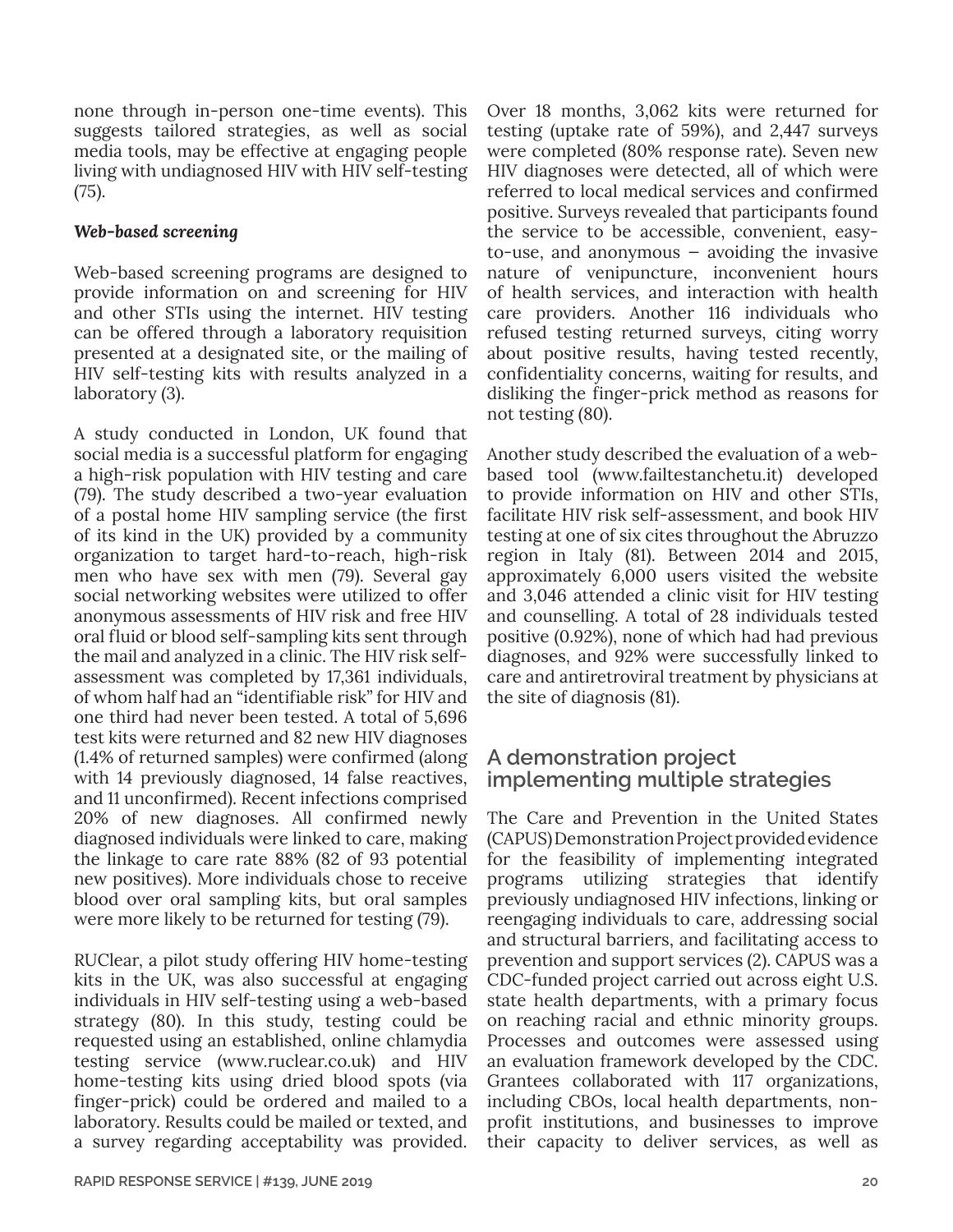none through in-person one-time events). This suggests tailored strategies, as well as social media tools, may be effective at engaging people living with undiagnosed HIV with HIV self-testing (75).

### *Web-based screening*

Web-based screening programs are designed to provide information on and screening for HIV and other STIs using the internet. HIV testing can be offered through a laboratory requisition presented at a designated site, or the mailing of HIV self-testing kits with results analyzed in a laboratory (3).

A study conducted in London, UK found that social media is a successful platform for engaging a high-risk population with HIV testing and care (79). The study described a two-year evaluation of a postal home HIV sampling service (the first of its kind in the UK) provided by a community organization to target hard-to-reach, high-risk men who have sex with men (79). Several gay social networking websites were utilized to offer anonymous assessments of HIV risk and free HIV oral fluid or blood self-sampling kits sent through the mail and analyzed in a clinic. The HIV risk selfassessment was completed by 17,361 individuals, of whom half had an "identifiable risk" for HIV and one third had never been tested. A total of 5,696 test kits were returned and 82 new HIV diagnoses (1.4% of returned samples) were confirmed (along with 14 previously diagnosed, 14 false reactives, and 11 unconfirmed). Recent infections comprised 20% of new diagnoses. All confirmed newly diagnosed individuals were linked to care, making the linkage to care rate 88% (82 of 93 potential new positives). More individuals chose to receive blood over oral sampling kits, but oral samples were more likely to be returned for testing (79).

RUClear, a pilot study offering HIV home-testing kits in the UK, was also successful at engaging individuals in HIV self-testing using a web-based strategy (80). In this study, testing could be requested using an established, online chlamydia testing service (www.ruclear.co.uk) and HIV home-testing kits using dried blood spots (via finger-prick) could be ordered and mailed to a laboratory. Results could be mailed or texted, and a survey regarding acceptability was provided.

Over 18 months, 3,062 kits were returned for testing (uptake rate of 59%), and 2,447 surveys were completed (80% response rate). Seven new HIV diagnoses were detected, all of which were referred to local medical services and confirmed positive. Surveys revealed that participants found the service to be accessible, convenient, easyto-use, and anonymous — avoiding the invasive nature of venipuncture, inconvenient hours of health services, and interaction with health care providers. Another 116 individuals who refused testing returned surveys, citing worry about positive results, having tested recently, confidentiality concerns, waiting for results, and disliking the finger-prick method as reasons for not testing (80).

Another study described the evaluation of a webbased tool ([www.failtestanchetu.it](http://www.failtestanchetu.it)) developed to provide information on HIV and other STIs, facilitate HIV risk self-assessment, and book HIV testing at one of six cites throughout the Abruzzo region in Italy (81). Between 2014 and 2015, approximately 6,000 users visited the website and 3,046 attended a clinic visit for HIV testing and counselling. A total of 28 individuals tested positive (0.92%), none of which had had previous diagnoses, and 92% were successfully linked to care and antiretroviral treatment by physicians at the site of diagnosis (81).

# **A demonstration project implementing multiple strategies**

The Care and Prevention in the United States (CAPUS) Demonstration Project provided evidence for the feasibility of implementing integrated programs utilizing strategies that identify previously undiagnosed HIV infections, linking or reengaging individuals to care, addressing social and structural barriers, and facilitating access to prevention and support services (2). CAPUS was a CDC-funded project carried out across eight U.S. state health departments, with a primary focus on reaching racial and ethnic minority groups. Processes and outcomes were assessed using an evaluation framework developed by the CDC. Grantees collaborated with 117 organizations, including CBOs, local health departments, nonprofit institutions, and businesses to improve their capacity to deliver services, as well as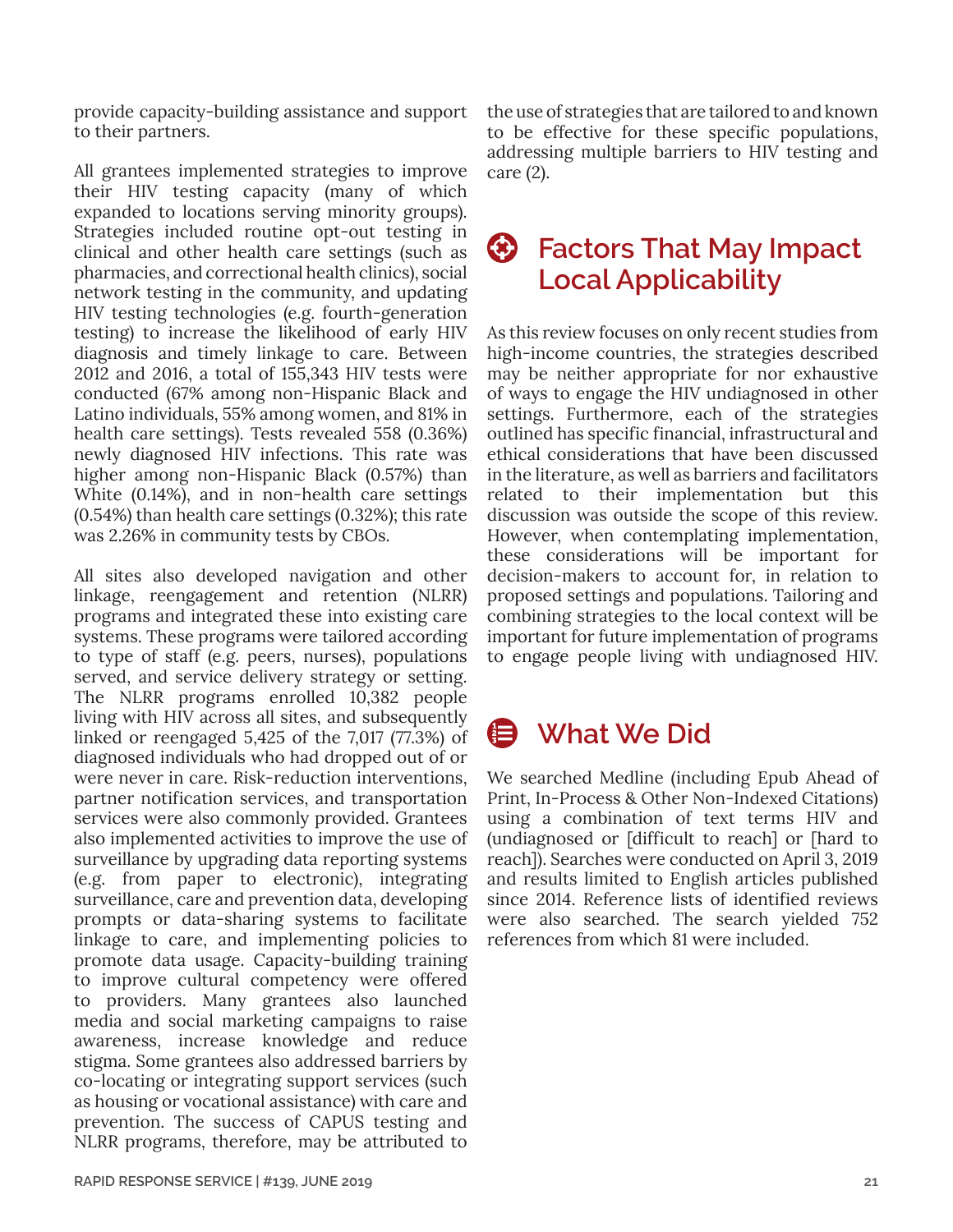provide capacity-building assistance and support to their partners.

All grantees implemented strategies to improve their HIV testing capacity (many of which expanded to locations serving minority groups). Strategies included routine opt-out testing in clinical and other health care settings (such as pharmacies, and correctional health clinics), social network testing in the community, and updating HIV testing technologies (e.g. fourth-generation testing) to increase the likelihood of early HIV diagnosis and timely linkage to care. Between 2012 and 2016, a total of 155,343 HIV tests were conducted (67% among non-Hispanic Black and Latino individuals, 55% among women, and 81% in health care settings). Tests revealed 558 (0.36%) newly diagnosed HIV infections. This rate was higher among non-Hispanic Black (0.57%) than White (0.14%), and in non-health care settings (0.54%) than health care settings (0.32%); this rate was 2.26% in community tests by CBOs.

All sites also developed navigation and other linkage, reengagement and retention (NLRR) programs and integrated these into existing care systems. These programs were tailored according to type of staff (e.g. peers, nurses), populations served, and service delivery strategy or setting. The NLRR programs enrolled 10,382 people living with HIV across all sites, and subsequently linked or reengaged 5,425 of the 7,017 (77.3%) of diagnosed individuals who had dropped out of or were never in care. Risk-reduction interventions, partner notification services, and transportation services were also commonly provided. Grantees also implemented activities to improve the use of surveillance by upgrading data reporting systems (e.g. from paper to electronic), integrating surveillance, care and prevention data, developing prompts or data-sharing systems to facilitate linkage to care, and implementing policies to promote data usage. Capacity-building training to improve cultural competency were offered to providers. Many grantees also launched media and social marketing campaigns to raise awareness, increase knowledge and reduce stigma. Some grantees also addressed barriers by co-locating or integrating support services (such as housing or vocational assistance) with care and prevention. The success of CAPUS testing and NLRR programs, therefore, may be attributed to the use of strategies that are tailored to and known to be effective for these specific populations, addressing multiple barriers to HIV testing and care (2).

# **Factors That May Impact Local Applicability**

As this review focuses on only recent studies from high-income countries, the strategies described may be neither appropriate for nor exhaustive of ways to engage the HIV undiagnosed in other settings. Furthermore, each of the strategies outlined has specific financial, infrastructural and ethical considerations that have been discussed in the literature, as well as barriers and facilitators related to their implementation but this discussion was outside the scope of this review. However, when contemplating implementation, these considerations will be important for decision-makers to account for, in relation to proposed settings and populations. Tailoring and combining strategies to the local context will be important for future implementation of programs to engage people living with undiagnosed HIV.

# **B** What We Did

We searched Medline (including Epub Ahead of Print, In-Process & Other Non-Indexed Citations) using a combination of text terms HIV and (undiagnosed or [difficult to reach] or [hard to reach]). Searches were conducted on April 3, 2019 and results limited to English articles published since 2014. Reference lists of identified reviews were also searched. The search yielded 752 references from which 81 were included.